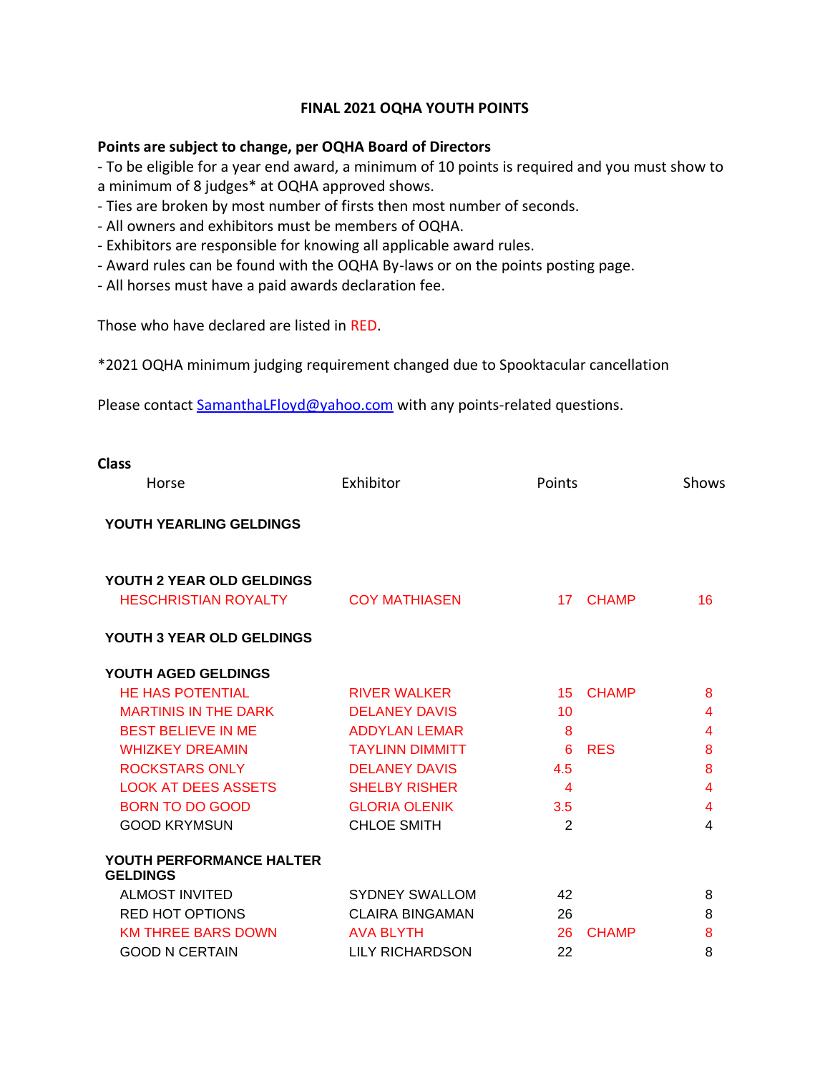# **FINAL 2021 OQHA YOUTH POINTS**

### **Points are subject to change, per OQHA Board of Directors**

- To be eligible for a year end award, a minimum of 10 points is required and you must show to a minimum of 8 judges\* at OQHA approved shows.

- Ties are broken by most number of firsts then most number of seconds.
- All owners and exhibitors must be members of OQHA.
- Exhibitors are responsible for knowing all applicable award rules.
- Award rules can be found with the OQHA By-laws or on the points posting page.
- All horses must have a paid awards declaration fee.

Those who have declared are listed in RED.

\*2021 OQHA minimum judging requirement changed due to Spooktacular cancellation

Please contact [SamanthaLFloyd@yahoo.com](mailto:SamanthaLFloyd@yahoo.com) with any points-related questions.

| <b>Class</b>                                |                        |                 |              |                         |
|---------------------------------------------|------------------------|-----------------|--------------|-------------------------|
| Horse                                       | Exhibitor              | Points          |              | Shows                   |
| YOUTH YEARLING GELDINGS                     |                        |                 |              |                         |
| YOUTH 2 YEAR OLD GELDINGS                   |                        |                 |              |                         |
| <b>HESCHRISTIAN ROYALTY</b>                 | <b>COY MATHIASEN</b>   | 17 <sup>7</sup> | <b>CHAMP</b> | 16                      |
| YOUTH 3 YEAR OLD GELDINGS                   |                        |                 |              |                         |
| YOUTH AGED GELDINGS                         |                        |                 |              |                         |
| <b>HE HAS POTENTIAL</b>                     | <b>RIVER WALKER</b>    | 15              | <b>CHAMP</b> | 8                       |
| <b>MARTINIS IN THE DARK</b>                 | <b>DELANEY DAVIS</b>   | 10              |              | 4                       |
| <b>BEST BELIEVE IN ME</b>                   | <b>ADDYLAN LEMAR</b>   | 8               |              | 4                       |
| <b>WHIZKEY DREAMIN</b>                      | <b>TAYLINN DIMMITT</b> | 6               | <b>RES</b>   | 8                       |
| <b>ROCKSTARS ONLY</b>                       | <b>DELANEY DAVIS</b>   | 4.5             |              | 8                       |
| <b>LOOK AT DEES ASSETS</b>                  | <b>SHELBY RISHER</b>   | $\overline{4}$  |              | 4                       |
| <b>BORN TO DO GOOD</b>                      | <b>GLORIA OLENIK</b>   | 3.5             |              | $\overline{\mathbf{4}}$ |
| <b>GOOD KRYMSUN</b>                         | <b>CHLOE SMITH</b>     | $\overline{2}$  |              | 4                       |
| YOUTH PERFORMANCE HALTER<br><b>GELDINGS</b> |                        |                 |              |                         |
| <b>ALMOST INVITED</b>                       | <b>SYDNEY SWALLOM</b>  | 42              |              | 8                       |
| <b>RED HOT OPTIONS</b>                      | <b>CLAIRA BINGAMAN</b> | 26              |              | 8                       |
| <b>KM THREE BARS DOWN</b>                   | <b>AVA BLYTH</b>       | 26              | <b>CHAMP</b> | 8                       |
| <b>GOOD N CERTAIN</b>                       | LILY RICHARDSON        | 22              |              | 8                       |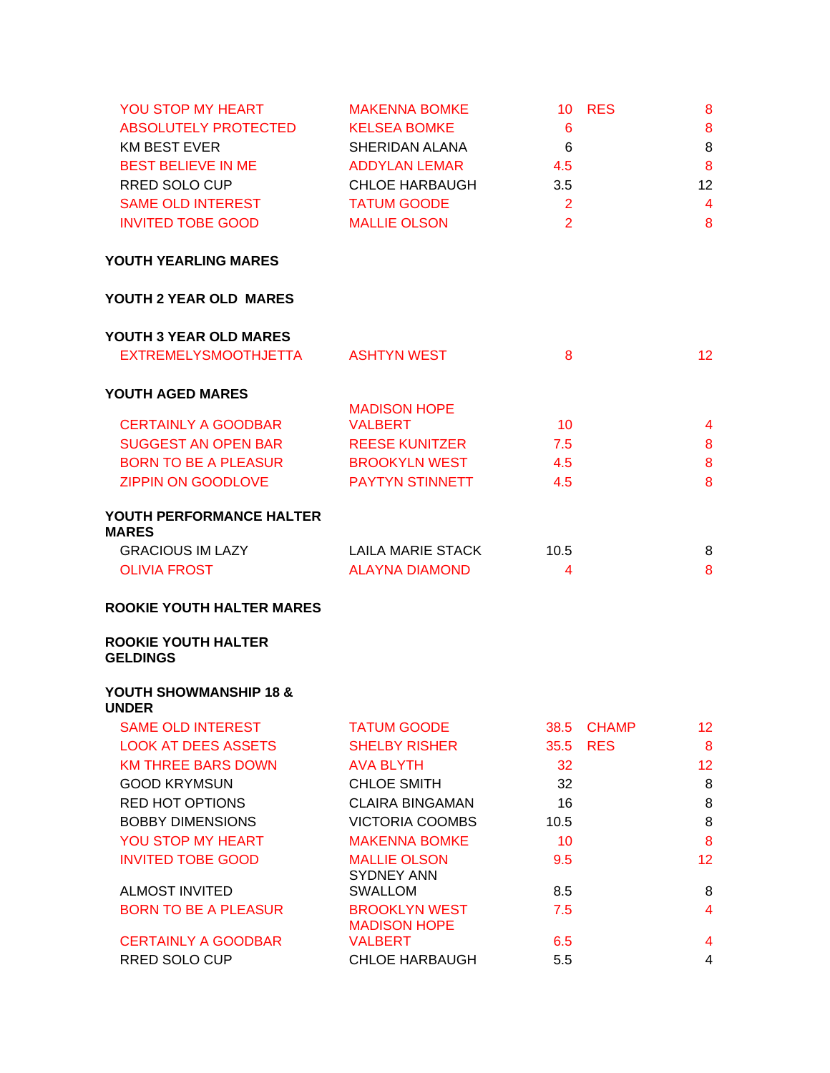| YOU STOP MY HEART<br><b>ABSOLUTELY PROTECTED</b><br><b>KM BEST EVER</b><br><b>BEST BELIEVE IN ME</b><br><b>RRED SOLO CUP</b><br>SAME OLD INTEREST<br><b>INVITED TOBE GOOD</b> | <b>MAKENNA BOMKE</b><br><b>KELSEA BOMKE</b><br>SHERIDAN ALANA<br><b>ADDYLAN LEMAR</b><br><b>CHLOE HARBAUGH</b><br><b>TATUM GOODE</b><br><b>MALLIE OLSON</b> | 6<br>6<br>4.5<br>3.5<br>$\overline{2}$<br>2 | <b>10 RES</b> | 8<br>8<br>8<br>8<br>12<br>$\overline{4}$<br>8 |
|-------------------------------------------------------------------------------------------------------------------------------------------------------------------------------|-------------------------------------------------------------------------------------------------------------------------------------------------------------|---------------------------------------------|---------------|-----------------------------------------------|
| YOUTH YEARLING MARES                                                                                                                                                          |                                                                                                                                                             |                                             |               |                                               |
| YOUTH 2 YEAR OLD MARES                                                                                                                                                        |                                                                                                                                                             |                                             |               |                                               |
| YOUTH 3 YEAR OLD MARES                                                                                                                                                        |                                                                                                                                                             |                                             |               |                                               |
| <b>EXTREMELYSMOOTHJETTA</b>                                                                                                                                                   | <b>ASHTYN WEST</b>                                                                                                                                          | 8                                           |               | 12                                            |
| YOUTH AGED MARES                                                                                                                                                              |                                                                                                                                                             |                                             |               |                                               |
|                                                                                                                                                                               | <b>MADISON HOPE</b>                                                                                                                                         |                                             |               |                                               |
| <b>CERTAINLY A GOODBAR</b>                                                                                                                                                    | <b>VALBERT</b>                                                                                                                                              | 10                                          |               | 4                                             |
| <b>SUGGEST AN OPEN BAR</b>                                                                                                                                                    | <b>REESE KUNITZER</b>                                                                                                                                       | 7.5                                         |               | 8                                             |
| BORN TO BE A PLEASUR                                                                                                                                                          | <b>BROOKYLN WEST</b>                                                                                                                                        | 4.5                                         |               | 8                                             |
| <b>ZIPPIN ON GOODLOVE</b>                                                                                                                                                     | <b>PAYTYN STINNETT</b>                                                                                                                                      | 4.5                                         |               | 8                                             |
| YOUTH PERFORMANCE HALTER<br><b>MARES</b>                                                                                                                                      |                                                                                                                                                             |                                             |               |                                               |
| <b>GRACIOUS IM LAZY</b>                                                                                                                                                       | LAILA MARIE STACK                                                                                                                                           | 10.5                                        |               | 8                                             |
| <b>OLIVIA FROST</b>                                                                                                                                                           | <b>ALAYNA DIAMOND</b>                                                                                                                                       | 4                                           |               | 8                                             |
| <b>ROOKIE YOUTH HALTER MARES</b>                                                                                                                                              |                                                                                                                                                             |                                             |               |                                               |
| <b>ROOKIE YOUTH HALTER</b><br><b>GELDINGS</b>                                                                                                                                 |                                                                                                                                                             |                                             |               |                                               |
| YOUTH SHOWMANSHIP 18 &<br><b>UNDER</b>                                                                                                                                        |                                                                                                                                                             |                                             |               |                                               |
| <b>SAME OLD INTEREST</b>                                                                                                                                                      | <b>TATUM GOODE</b>                                                                                                                                          | 38.5                                        | <b>CHAMP</b>  | 12                                            |
| <b>LOOK AT DEES ASSETS</b>                                                                                                                                                    | <b>SHELBY RISHER</b>                                                                                                                                        | 35.5                                        | <b>RES</b>    | 8                                             |
| <b>KM THREE BARS DOWN</b>                                                                                                                                                     | <b>AVA BLYTH</b>                                                                                                                                            | 32                                          |               | 12                                            |
| <b>GOOD KRYMSUN</b>                                                                                                                                                           | <b>CHLOE SMITH</b>                                                                                                                                          | 32                                          |               | 8                                             |
| <b>RED HOT OPTIONS</b>                                                                                                                                                        | <b>CLAIRA BINGAMAN</b>                                                                                                                                      | 16                                          |               | 8                                             |
| <b>BOBBY DIMENSIONS</b>                                                                                                                                                       | <b>VICTORIA COOMBS</b>                                                                                                                                      | 10.5                                        |               | 8                                             |
| YOU STOP MY HEART                                                                                                                                                             | <b>MAKENNA BOMKE</b>                                                                                                                                        | 10                                          |               | 8                                             |
| <b>INVITED TOBE GOOD</b>                                                                                                                                                      | <b>MALLIE OLSON</b>                                                                                                                                         | 9.5                                         |               | 12                                            |
|                                                                                                                                                                               | <b>SYDNEY ANN</b>                                                                                                                                           |                                             |               |                                               |
| <b>ALMOST INVITED</b>                                                                                                                                                         | <b>SWALLOM</b>                                                                                                                                              | 8.5                                         |               | 8                                             |
| <b>BORN TO BE A PLEASUR</b>                                                                                                                                                   | <b>BROOKLYN WEST</b><br><b>MADISON HOPE</b>                                                                                                                 | 7.5                                         |               | $\overline{4}$                                |
| <b>CERTAINLY A GOODBAR</b>                                                                                                                                                    | <b>VALBERT</b>                                                                                                                                              | 6.5                                         |               | 4                                             |

RRED SOLO CUP CHLOE HARBAUGH 5.5 4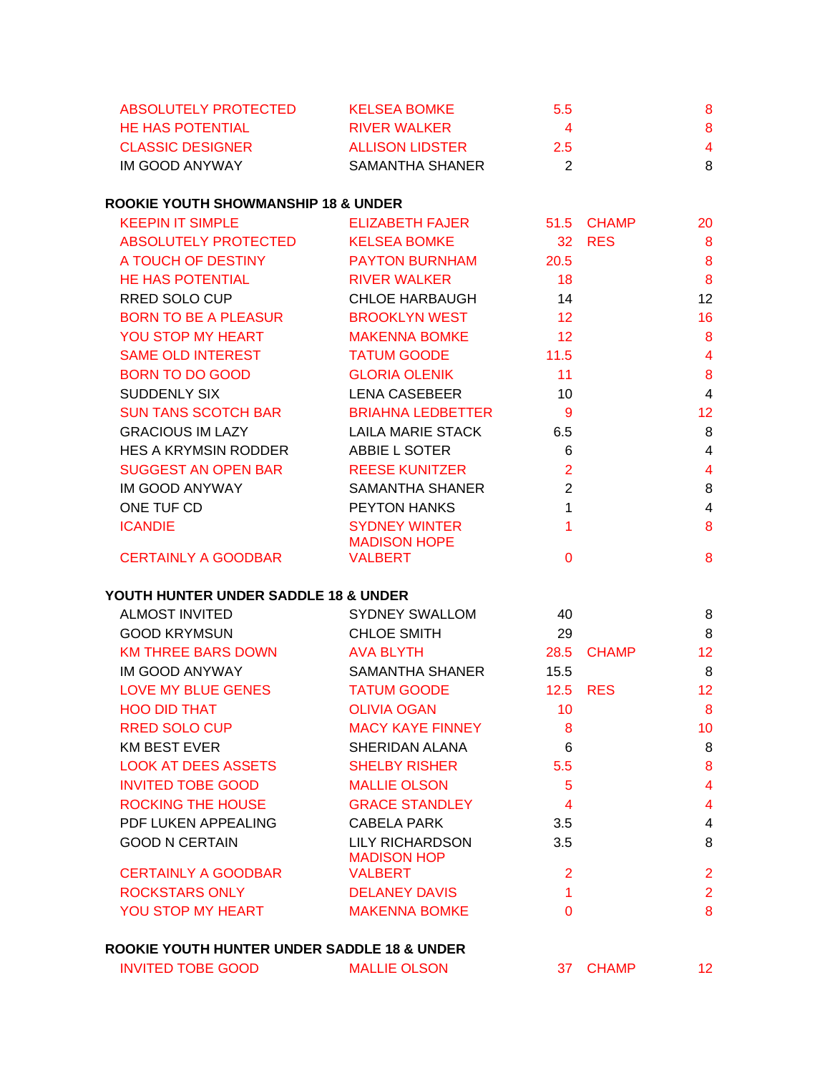| ABSOLUTELY PROTECTED    | <b>KELSEA BOMKE</b>    | 5.5 | 8 |
|-------------------------|------------------------|-----|---|
| <b>HE HAS POTENTIAL</b> | RIVER WALKER           |     | 8 |
| <b>CLASSIC DESIGNER</b> | <b>ALLISON LIDSTER</b> | 2.5 | 4 |
| IM GOOD ANYWAY          | SAMANTHA SHANER        |     | 8 |

# **ROOKIE YOUTH SHOWMANSHIP 18 & UNDER**

| <b>KEEPIN IT SIMPLE</b>     | ELIZABETH FAJER                             | 51.5            | <b>CHAMP</b> | 20              |
|-----------------------------|---------------------------------------------|-----------------|--------------|-----------------|
| ABSOLUTELY PROTECTED        | <b>KELSEA BOMKE</b>                         | 32 <sup>2</sup> | <b>RES</b>   | 8               |
| A TOUCH OF DESTINY          | <b>PAYTON BURNHAM</b>                       | 20.5            |              | 8               |
| <b>HE HAS POTENTIAL</b>     | <b>RIVER WALKER</b>                         | 18              |              | 8               |
| RRED SOLO CUP               | CHLOE HARBAUGH                              | 14              |              | 12              |
| <b>BORN TO BE A PLEASUR</b> | <b>BROOKLYN WEST</b>                        | 12 <sup>2</sup> |              | 16              |
| <b>YOU STOP MY HEART</b>    | <b>MAKENNA BOMKE</b>                        | 12              |              | 8               |
| <b>SAME OLD INTEREST</b>    | <b>TATUM GOODE</b>                          | 11.5            |              | $\overline{4}$  |
| <b>BORN TO DO GOOD</b>      | <b>GLORIA OLENIK</b>                        | 11              |              | 8               |
| SUDDENLY SIX                | <b>LENA CASEBEER</b>                        | 10              |              | $\overline{4}$  |
| SUN TANS SCOTCH BAR         | <b>BRIAHNA LEDBETTER</b>                    | 9               |              | 12 <sub>2</sub> |
| <b>GRACIOUS IM LAZY</b>     | LAILA MARIE STACK                           | 6.5             |              | 8               |
| <b>HES A KRYMSIN RODDER</b> | ABBIE L SOTER                               | 6               |              | 4               |
| <b>SUGGEST AN OPEN BAR</b>  | <b>REESE KUNITZER</b>                       | $\overline{2}$  |              | 4               |
| <b>IM GOOD ANYWAY</b>       | SAMANTHA SHANER                             | 2               |              | 8               |
| ONE TUF CD                  | <b>PEYTON HANKS</b>                         | 1               |              | 4               |
| <b>ICANDIE</b>              | <b>SYDNEY WINTER</b><br><b>MADISON HOPE</b> | 1               |              | 8               |
| <b>CERTAINLY A GOODBAR</b>  | <b>VALBERT</b>                              | 0               |              | 8               |

# **YOUTH HUNTER UNDER SADDLE 18 & UNDER**

| <b>ALMOST INVITED</b>      | <b>SYDNEY SWALLOM</b>                 | 40             |              | 8               |
|----------------------------|---------------------------------------|----------------|--------------|-----------------|
| <b>GOOD KRYMSUN</b>        | <b>CHLOE SMITH</b>                    | 29             |              | 8               |
| <b>KM THREE BARS DOWN</b>  | <b>AVA BLYTH</b>                      | 28.5           | <b>CHAMP</b> | 12 <sub>2</sub> |
| IM GOOD ANYWAY             | SAMANTHA SHANER                       | 15.5           |              | 8               |
| LOVE MY BLUE GENES         | <b>TATUM GOODE</b>                    | 12.5           | <b>RES</b>   | 12 <sub>2</sub> |
| <b>HOO DID THAT</b>        | <b>OLIVIA OGAN</b>                    | 10             |              | 8               |
| RRED SOLO CUP              | <b>MACY KAYE FINNEY</b>               | 8              |              | 10 <sup>°</sup> |
| <b>KM BEST EVER</b>        | SHERIDAN ALANA                        | 6              |              | 8               |
| <b>LOOK AT DEES ASSETS</b> | <b>SHELBY RISHER</b>                  | 5.5            |              | 8               |
| <b>INVITED TOBE GOOD</b>   | <b>MALLIE OLSON</b>                   | 5              |              | 4               |
| ROCKING THE HOUSE          | <b>GRACE STANDLEY</b>                 | 4              |              | 4               |
| PDF LUKEN APPEALING        | CABELA PARK                           | 3.5            |              | 4               |
| <b>GOOD N CERTAIN</b>      | LILY RICHARDSON<br><b>MADISON HOP</b> | 3.5            |              | 8               |
| <b>CERTAINLY A GOODBAR</b> | <b>VALBERT</b>                        | $\overline{2}$ |              | $\overline{2}$  |
| <b>ROCKSTARS ONLY</b>      | <b>DELANEY DAVIS</b>                  |                |              | $\overline{2}$  |
| YOU STOP MY HEART          | <b>MAKENNA BOMKE</b>                  | 0              |              | 8               |
|                            |                                       |                |              |                 |

# **ROOKIE YOUTH HUNTER UNDER SADDLE 18 & UNDER**

|  | INVITED TOBE GOOD | <b>MALLIE OLSON</b> |  | 37 CHAMP |  |
|--|-------------------|---------------------|--|----------|--|
|--|-------------------|---------------------|--|----------|--|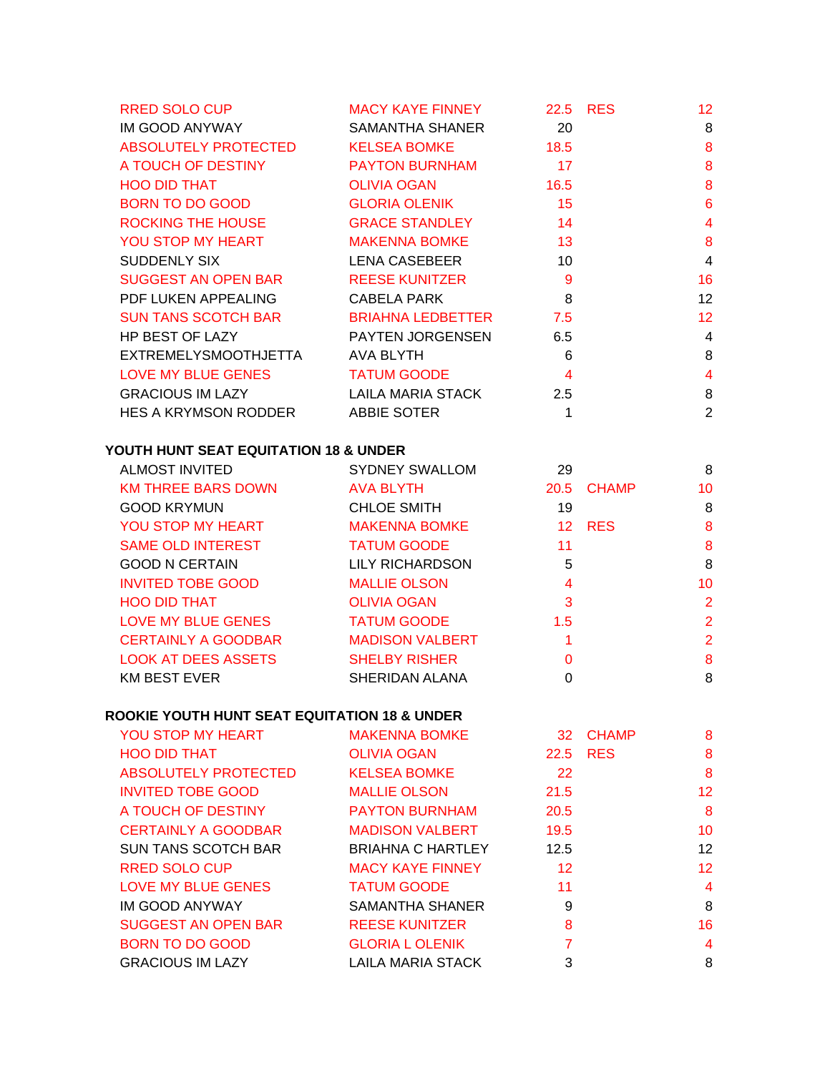| <b>RRED SOLO CUP</b>       | <b>MACY KAYE FINNEY</b> | 22.5            | <b>RES</b> | 12              |
|----------------------------|-------------------------|-----------------|------------|-----------------|
| IM GOOD ANYWAY             | SAMANTHA SHANER         | 20              |            | 8               |
| ABSOLUTELY PROTECTED       | KELSEA BOMKE            | 18.5            |            | 8               |
| A TOUCH OF DESTINY         | <b>PAYTON BURNHAM</b>   | 17              |            | 8               |
| <b>HOO DID THAT</b>        | OLIVIA OGAN             | 16.5            |            | 8               |
| BORN TO DO GOOD            | <b>GLORIA OLENIK</b>    | 15              |            | $6\phantom{1}6$ |
| ROCKING THE HOUSE          | <b>GRACE STANDLEY</b>   | $\overline{14}$ |            | 4               |
| YOU STOP MY HEART          | MAKENNA BOMKE           | 13              |            | 8               |
| SUDDENLY SIX               | LENA CASEBEER           | 10              |            | 4               |
| SUGGEST AN OPEN BAR        | <b>REESE KUNITZER</b>   | 9               |            | 16              |
| PDF LUKEN APPEALING        | CABELA PARK             | 8               |            | 12              |
| <b>SUN TANS SCOTCH BAR</b> | BRIAHNA LEDBETTER       | 7.5             |            | 12              |
| HP BEST OF LAZY            | PAYTEN JORGENSEN        | 6.5             |            | $\overline{4}$  |
| EXTREMELYSMOOTHJETTA       | AVA BLYTH               | 6               |            | 8               |
| LOVE MY BLUE GENES         | <b>TATUM GOODE</b>      | $\overline{4}$  |            | 4               |
| <b>GRACIOUS IM LAZY</b>    | LAILA MARIA STACK       | 2.5             |            | 8               |
| HES A KRYMSON RODDER       | ABBIE SOTER             | 1               |            | $\overline{2}$  |

# **YOUTH HUNT SEAT EQUITATION 18 & UNDER**

| <b>ALMOST INVITED</b>      | <b>SYDNEY SWALLOM</b>  | 29             |            | 8              |
|----------------------------|------------------------|----------------|------------|----------------|
| <b>KM THREE BARS DOWN</b>  | AVA BLYTH              |                | 20.5 CHAMP | 10             |
| <b>GOOD KRYMUN</b>         | <b>CHLOE SMITH</b>     | 19             |            | 8              |
| <b>YOU STOP MY HEART</b>   | <b>MAKENNA BOMKE</b>   |                | 12 RES     | 8              |
| <b>SAME OLD INTEREST</b>   | <b>TATUM GOODE</b>     | 11             |            | 8              |
| <b>GOOD N CERTAIN</b>      | <b>LILY RICHARDSON</b> | 5              |            | 8              |
| <b>INVITED TOBE GOOD</b>   | <b>MALLIE OLSON</b>    | $\overline{4}$ |            | 10             |
| <b>HOO DID THAT</b>        | <b>OLIVIA OGAN</b>     | 3              |            | 2              |
| LOVE MY BLUE GENES         | <b>TATUM GOODE</b>     | 1.5            |            | $\overline{2}$ |
| <b>CERTAINLY A GOODBAR</b> | <b>MADISON VALBERT</b> |                |            | 2              |
| <b>LOOK AT DEES ASSETS</b> | <b>SHELBY RISHER</b>   | $\Omega$       |            | 8              |
| <b>KM BEST EVER</b>        | SHERIDAN ALANA         | 0              |            | 8              |
|                            |                        |                |            |                |

# **ROOKIE YOUTH HUNT SEAT EQUITATION 18 & UNDER**

| YOU STOP MY HEART           | <b>MAKENNA BOMKE</b>     |         | 32 CHAMP   | 8                 |
|-----------------------------|--------------------------|---------|------------|-------------------|
| <b>HOO DID THAT</b>         | <b>OLIVIA OGAN</b>       | 22.5    | <b>RES</b> | 8                 |
| <b>ABSOLUTELY PROTECTED</b> | <b>KELSEA BOMKE</b>      | 22      |            | 8                 |
| <b>INVITED TOBE GOOD</b>    | <b>MALLIE OLSON</b>      | 21.5    |            | 12 <sup>2</sup>   |
| A TOUCH OF DESTINY          | <b>PAYTON BURNHAM</b>    | 20.5    |            | 8                 |
| <b>CERTAINLY A GOODBAR</b>  | <b>MADISON VALBERT</b>   | 19.5    |            | 10                |
| <b>SUN TANS SCOTCH BAR</b>  | <b>BRIAHNA C HARTLEY</b> | 12.5    |            | $12 \overline{ }$ |
| <b>RRED SOLO CUP</b>        | <b>MACY KAYE FINNEY</b>  | $12 \,$ |            | 12 <sup>2</sup>   |
| LOVE MY BLUE GENES          | <b>TATUM GOODE</b>       | 11      |            | 4                 |
| <b>IM GOOD ANYWAY</b>       | <b>SAMANTHA SHANER</b>   | 9       |            | 8                 |
| <b>SUGGEST AN OPEN BAR</b>  | <b>REESE KUNITZER</b>    | 8       |            | 16                |
| <b>BORN TO DO GOOD</b>      | <b>GLORIA L OLENIK</b>   | 7       |            | 4                 |
| <b>GRACIOUS IM LAZY</b>     | LAILA MARIA STACK        | 3       |            | 8                 |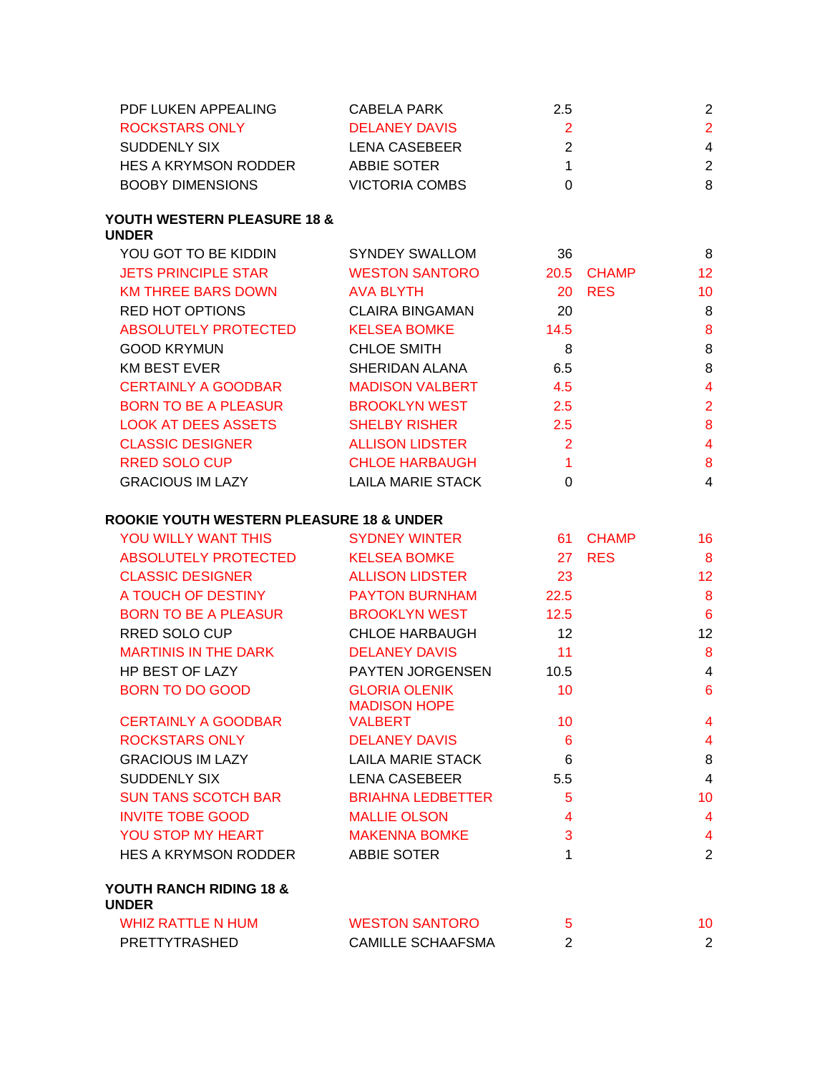| CABELA PARK           | 2.5 | 2             |
|-----------------------|-----|---------------|
| DELANEY DAVIS         |     | $\mathcal{P}$ |
| LENA CASEBEER         |     | 4             |
| ABBIE SOTER           |     | $\mathcal{P}$ |
| <b>VICTORIA COMBS</b> |     | 8             |
|                       |     |               |

#### **YOUTH WESTERN PLEASURE 18 & UNDER**

| YOU GOT TO BE KIDDIN        | <b>SYNDEY SWALLOM</b>    | 36        |              | 8               |
|-----------------------------|--------------------------|-----------|--------------|-----------------|
| <b>JETS PRINCIPLE STAR</b>  | <b>WESTON SANTORO</b>    | 20.5      | <b>CHAMP</b> | 12 <sup>2</sup> |
| <b>KM THREE BARS DOWN</b>   | <b>AVA BLYTH</b>         | <b>20</b> | <b>RES</b>   | 10              |
| RED HOT OPTIONS             | <b>CLAIRA BINGAMAN</b>   | 20        |              | 8               |
| <b>ABSOLUTELY PROTECTED</b> | <b>KELSEA BOMKE</b>      | 14.5      |              | 8               |
| <b>GOOD KRYMUN</b>          | <b>CHLOE SMITH</b>       | 8         |              | 8               |
| <b>KM BEST EVER</b>         | SHERIDAN ALANA           | 6.5       |              | 8               |
| <b>CERTAINLY A GOODBAR</b>  | <b>MADISON VALBERT</b>   | 4.5       |              | 4               |
| <b>BORN TO BE A PLEASUR</b> | <b>BROOKLYN WEST</b>     | 2.5       |              | $\overline{2}$  |
| <b>LOOK AT DEES ASSETS</b>  | <b>SHELBY RISHER</b>     | 2.5       |              | 8               |
| <b>CLASSIC DESIGNER</b>     | <b>ALLISON LIDSTER</b>   | 2         |              | 4               |
| <b>RRED SOLO CUP</b>        | <b>CHLOE HARBAUGH</b>    |           |              | 8               |
| <b>GRACIOUS IM LAZY</b>     | <b>LAILA MARIE STACK</b> | 0         |              | 4               |
|                             |                          |           |              |                 |

### **ROOKIE YOUTH WESTERN PLEASURE 18 & UNDER**

| <b>YOU WILLY WANT THIS</b>              | <b>SYDNEY WINTER</b>                        | 61 -                    | <b>CHAMP</b> | 16                      |
|-----------------------------------------|---------------------------------------------|-------------------------|--------------|-------------------------|
| ABSOLUTELY PROTECTED                    | <b>KELSEA BOMKE</b>                         | 27                      | <b>RES</b>   | 8                       |
| <b>CLASSIC DESIGNER</b>                 | <b>ALLISON LIDSTER</b>                      | 23                      |              | 12                      |
| A TOUCH OF DESTINY                      | <b>PAYTON BURNHAM</b>                       | 22.5                    |              | 8                       |
| BORN TO BE A PLEASUR                    | <b>BROOKLYN WEST</b>                        | 12.5                    |              | $6\phantom{1}6$         |
| RRED SOLO CUP                           | CHLOE HARBAUGH                              | 12                      |              | 12                      |
| <b>MARTINIS IN THE DARK</b>             | <b>DELANEY DAVIS</b>                        | 11                      |              | 8                       |
| <b>HP BEST OF LAZY</b>                  | PAYTEN JORGENSEN                            | 10.5                    |              | $\overline{\mathbf{4}}$ |
| BORN TO DO GOOD                         | <b>GLORIA OLENIK</b><br><b>MADISON HOPE</b> | 10                      |              | $6\phantom{1}6$         |
| <b>CERTAINLY A GOODBAR</b>              | <b>VALBERT</b>                              | 10                      |              | $\overline{4}$          |
| <b>ROCKSTARS ONLY</b>                   | <b>DELANEY DAVIS</b>                        | 6                       |              | $\overline{4}$          |
| <b>GRACIOUS IM LAZY</b>                 | LAILA MARIE STACK                           | $6\phantom{1}6$         |              | 8                       |
| <b>SUDDENLY SIX</b>                     | <b>LENA CASEBEER</b>                        | 5.5                     |              | $\overline{4}$          |
| SUN TANS SCOTCH BAR                     | <b>BRIAHNA LEDBETTER</b>                    | 5                       |              | 10                      |
| <b>INVITE TOBE GOOD</b>                 | <b>MALLIE OLSON</b>                         | $\overline{\mathbf{A}}$ |              | $\overline{4}$          |
| YOU STOP MY HEART                       | MAKENNA BOMKE                               | 3                       |              | $\overline{4}$          |
| HES A KRYMSON RODDER                    | ABBIE SOTER                                 | 1                       |              | $\overline{2}$          |
| YOUTH RANCH RIDING 18 &<br><b>UNDER</b> |                                             |                         |              |                         |
| WHIZ RATTLE N HUM                       | <b>WESTON SANTORO</b>                       | 5                       |              | 10                      |
| PRETTYTRASHED                           | <b>CAMILLE SCHAAFSMA</b>                    | $\overline{2}$          |              | $\overline{2}$          |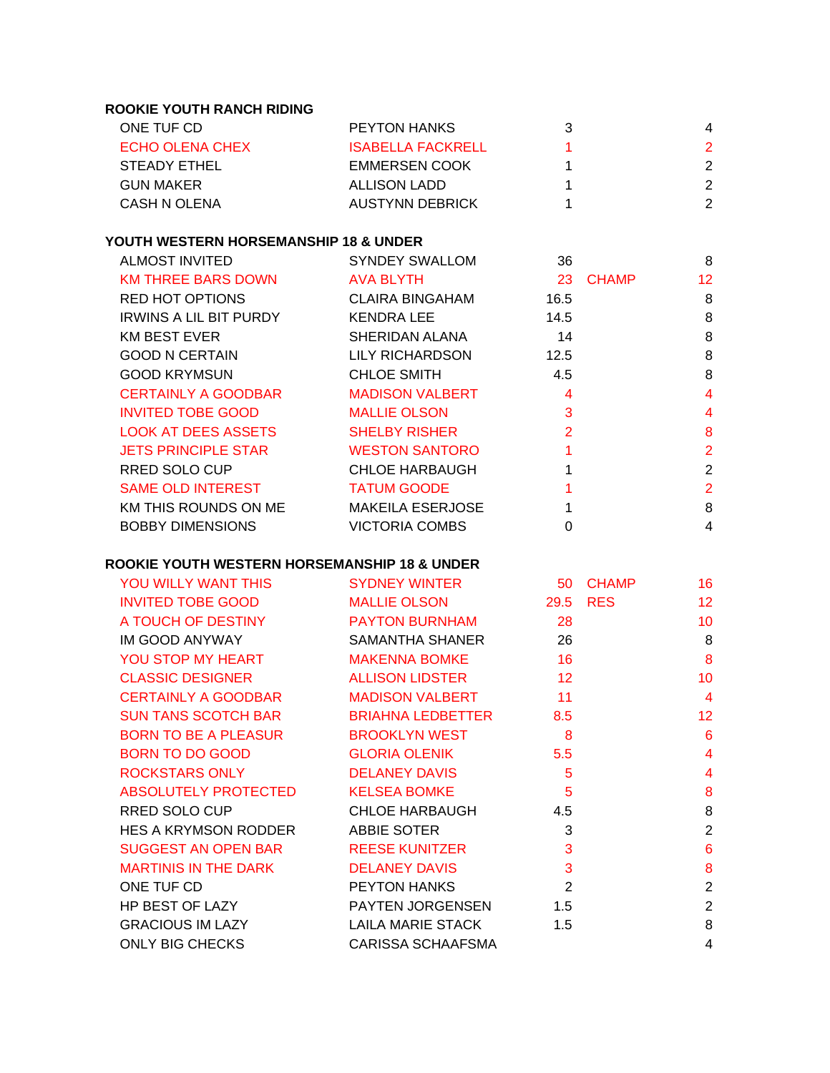## **ROOKIE YOUTH RANCH RIDING**

| ONE TUF CD      | <b>PEYTON HANKS</b>      |   |
|-----------------|--------------------------|---|
| ECHO OLENA CHEX | <b>ISABELLA FACKRELL</b> | 2 |
| STEADY ETHEL    | EMMERSEN COOK            | 2 |
| GUN MAKER       | ALLISON LADD             | 2 |
| CASH N OLENA    | AUSTYNN DEBRICK          | 2 |
|                 |                          |   |

### **YOUTH WESTERN HORSEMANSHIP 18 & UNDER**

| <b>ALMOST INVITED</b>         | <b>SYNDEY SWALLOM</b>   | 36             |       | 8  |
|-------------------------------|-------------------------|----------------|-------|----|
| <b>KM THREE BARS DOWN</b>     | <b>AVA BLYTH</b>        | 23             | CHAMP | 12 |
| RED HOT OPTIONS               | <b>CLAIRA BINGAHAM</b>  | 16.5           |       | 8  |
| <b>IRWINS A LIL BIT PURDY</b> | KENDRA LEE              | 14.5           |       | 8  |
| <b>KM BEST EVER</b>           | SHERIDAN ALANA          | 14             |       | 8  |
| <b>GOOD N CERTAIN</b>         | LILY RICHARDSON         | 12.5           |       | 8  |
| <b>GOOD KRYMSUN</b>           | <b>CHLOE SMITH</b>      | 4.5            |       | 8  |
| <b>CERTAINLY A GOODBAR</b>    | <b>MADISON VALBERT</b>  | $\overline{4}$ |       | 4  |
| <b>INVITED TOBE GOOD</b>      | <b>MALLIE OLSON</b>     | 3              |       | 4  |
| <b>LOOK AT DEES ASSETS</b>    | <b>SHELBY RISHER</b>    | 2              |       | 8  |
| <b>JETS PRINCIPLE STAR</b>    | <b>WESTON SANTORO</b>   |                |       | 2  |
| RRED SOLO CUP                 | <b>CHLOE HARBAUGH</b>   |                |       | 2  |
| <b>SAME OLD INTEREST</b>      | <b>TATUM GOODE</b>      |                |       | 2  |
| KM THIS ROUNDS ON ME          | <b>MAKEILA ESERJOSE</b> |                |       | 8  |
| <b>BOBBY DIMENSIONS</b>       | <b>VICTORIA COMBS</b>   | 0              |       | 4  |
|                               |                         |                |       |    |

### **ROOKIE YOUTH WESTERN HORSEMANSHIP 18 & UNDER**

| YOU WILLY WANT THIS                    | SYDNEY WINTER            | 50                         | <b>CHAMP</b> | 16                      |
|----------------------------------------|--------------------------|----------------------------|--------------|-------------------------|
| INVITED TOBE GOOD                      | MALLIE OLSON             | 29.5                       | <b>RES</b>   | 12                      |
| A TOUCH OF DESTINY PAYTON BURNHAM 28   |                          |                            |              | 10                      |
| IM GOOD ANYWAY SAMANTHA SHANER 26      |                          |                            |              | 8                       |
| <b>YOU STOP MY HEART MAKENNA BOMKE</b> |                          | $\overline{16}$            |              | 8                       |
| CLASSIC DESIGNER ALLISON LIDSTER       |                          | $\overline{12}$            |              | 10                      |
| CERTAINLY A GOODBAR MADISON VALBERT    |                          | 11                         |              | $\overline{4}$          |
| SUN TANS SCOTCH BAR BRIAHNA LEDBETTER  |                          | 8.5                        |              | 12                      |
| BORN TO BE A PLEASUR BROOKLYN WEST     |                          | 8                          |              | $6\phantom{1}6$         |
| BORN TO DO GOOD GELORIA OLENIK         |                          | 5.5                        |              | $\overline{4}$          |
| ROCKSTARS ONLY DELANEY DAVIS           |                          | $\overline{5}$             |              | $\overline{\mathbf{4}}$ |
| ABSOLUTELY PROTECTED KELSEA BOMKE      |                          | $\overline{\phantom{0}}$ 5 |              | 8                       |
| <b>RRED SOLO CUP</b>                   | <b>CHLOE HARBAUGH</b>    | 4.5                        |              | 8                       |
| HES A KRYMSON RODDER ABBIE SOTER       |                          | $\mathbf{3}$               |              | $\overline{2}$          |
| SUGGEST AN OPEN BAR REESE KUNITZER     |                          | $\overline{3}$             |              | $6\phantom{1}6$         |
| MARTINIS IN THE DARK                   | <b>DELANEY DAVIS</b>     | $\mathbf{3}$               |              | 8                       |
| ONE TUF CD                             | <b>PEYTON HANKS</b>      | $\overline{2}$             |              | $\overline{2}$          |
| HP BEST OF LAZY                        | PAYTEN JORGENSEN 1.5     |                            |              | $\overline{2}$          |
| <b>GRACIOUS IM LAZY</b>                | LAILA MARIE STACK        | 1.5                        |              | 8                       |
| <b>ONLY BIG CHECKS</b>                 | <b>CARISSA SCHAAFSMA</b> |                            |              | $\overline{4}$          |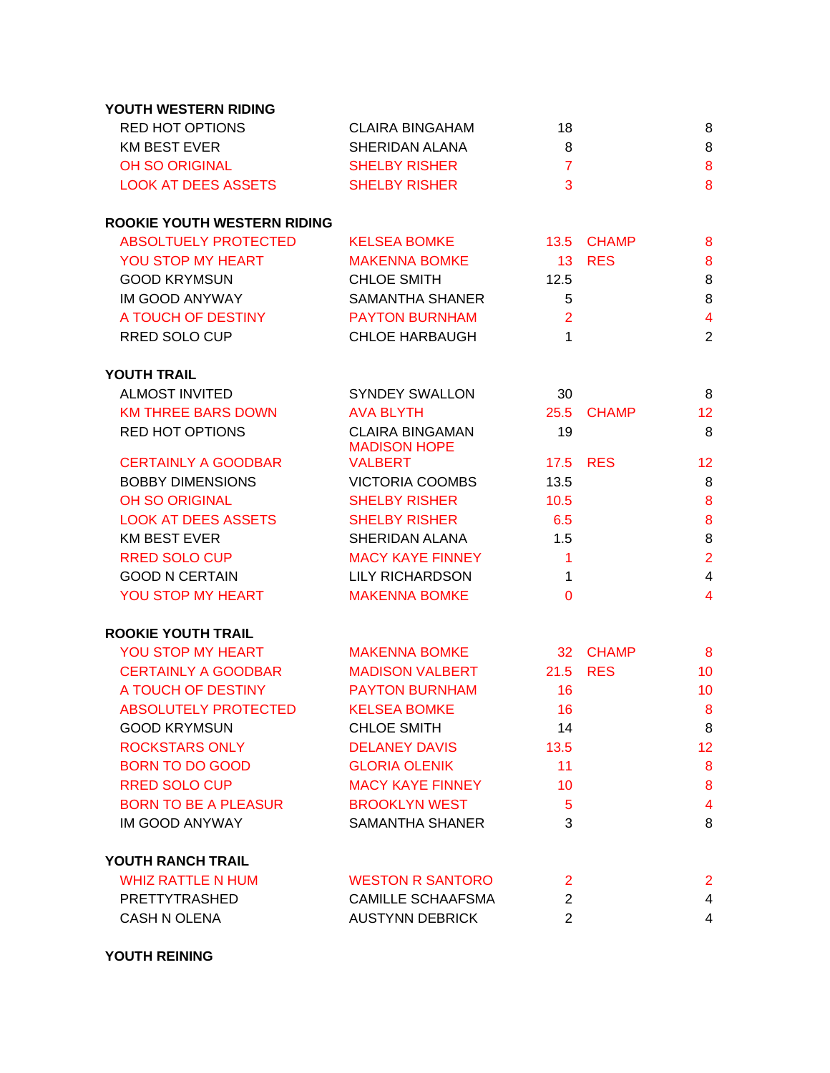| YOUTH WESTERN RIDING               |                                               |                |               |                         |
|------------------------------------|-----------------------------------------------|----------------|---------------|-------------------------|
| <b>RED HOT OPTIONS</b>             | <b>CLAIRA BINGAHAM</b>                        | 18             |               | 8                       |
| <b>KM BEST EVER</b>                | SHERIDAN ALANA                                | 8              |               | 8                       |
| <b>OH SO ORIGINAL</b>              | <b>SHELBY RISHER</b>                          | $\overline{7}$ |               | 8                       |
| <b>LOOK AT DEES ASSETS</b>         | <b>SHELBY RISHER</b>                          | 3              |               | 8                       |
| <b>ROOKIE YOUTH WESTERN RIDING</b> |                                               |                |               |                         |
| <b>ABSOLTUELY PROTECTED</b>        | <b>KELSEA BOMKE</b>                           |                | 13.5 CHAMP    | 8                       |
| YOU STOP MY HEART                  | <b>MAKENNA BOMKE</b>                          |                | <b>13 RES</b> | 8                       |
| <b>GOOD KRYMSUN</b>                | <b>CHLOE SMITH</b>                            | 12.5           |               | 8                       |
| IM GOOD ANYWAY                     | <b>SAMANTHA SHANER</b>                        | 5              |               | 8                       |
| A TOUCH OF DESTINY                 | <b>PAYTON BURNHAM</b>                         | $\overline{2}$ |               | $\overline{4}$          |
| RRED SOLO CUP                      | <b>CHLOE HARBAUGH</b>                         | $\mathbf{1}$   |               | $\overline{2}$          |
| <b>YOUTH TRAIL</b>                 |                                               |                |               |                         |
| <b>ALMOST INVITED</b>              | <b>SYNDEY SWALLON</b>                         | 30             |               | 8                       |
| <b>KM THREE BARS DOWN</b>          | AVA BLYTH                                     | 25.5           | <b>CHAMP</b>  | 12                      |
| <b>RED HOT OPTIONS</b>             | <b>CLAIRA BINGAMAN</b><br><b>MADISON HOPE</b> | 19             |               | 8                       |
| <b>CERTAINLY A GOODBAR</b>         | <b>VALBERT</b>                                | 17.5           | <b>RES</b>    | 12                      |
| <b>BOBBY DIMENSIONS</b>            | <b>VICTORIA COOMBS</b>                        | 13.5           |               | 8                       |
| OH SO ORIGINAL                     | <b>SHELBY RISHER</b>                          | 10.5           |               | 8                       |
| <b>LOOK AT DEES ASSETS</b>         | <b>SHELBY RISHER</b>                          | 6.5            |               | 8                       |
| <b>KM BEST EVER</b>                | SHERIDAN ALANA                                | 1.5            |               | 8                       |
| <b>RRED SOLO CUP</b>               | <b>MACY KAYE FINNEY</b>                       | $\overline{1}$ |               | $\overline{2}$          |
| <b>GOOD N CERTAIN</b>              | <b>LILY RICHARDSON</b>                        | 1              |               | $\overline{4}$          |
| YOU STOP MY HEART                  | <b>MAKENNA BOMKE</b>                          | $\Omega$       |               | $\overline{\mathbf{4}}$ |
| <b>ROOKIE YOUTH TRAIL</b>          |                                               |                |               |                         |
| YOU STOP MY HEART                  | <b>MAKENNA BOMKE</b>                          |                | 32 CHAMP      | 8                       |
| <b>CERTAINLY A GOODBAR</b>         | <b>MADISON VALBERT</b>                        | 21.5           | <b>RES</b>    | 10                      |
| A TOUCH OF DESTINY                 | <b>PAYTON BURNHAM</b>                         | 16             |               | 10                      |
| <b>ABSOLUTELY PROTECTED</b>        | <b>KELSEA BOMKE</b>                           | 16             |               | 8                       |
| <b>GOOD KRYMSUN</b>                | <b>CHLOE SMITH</b>                            | 14             |               | 8                       |
| <b>ROCKSTARS ONLY</b>              | <b>DELANEY DAVIS</b>                          | 13.5           |               | 12                      |
| <b>BORN TO DO GOOD</b>             | <b>GLORIA OLENIK</b>                          | 11             |               | 8                       |
| <b>RRED SOLO CUP</b>               | <b>MACY KAYE FINNEY</b>                       | 10             |               | 8                       |
| <b>BORN TO BE A PLEASUR</b>        | <b>BROOKLYN WEST</b>                          | $\overline{5}$ |               | $\overline{\mathbf{4}}$ |
| IM GOOD ANYWAY                     | <b>SAMANTHA SHANER</b>                        | 3              |               | 8                       |
| YOUTH RANCH TRAIL                  |                                               |                |               |                         |
| <b>WHIZ RATTLE N HUM</b>           | <b>WESTON R SANTORO</b>                       | $\overline{2}$ |               | $\overline{2}$          |
| PRETTYTRASHED                      | <b>CAMILLE SCHAAFSMA</b>                      | $\overline{2}$ |               | 4                       |
| <b>CASH N OLENA</b>                | <b>AUSTYNN DEBRICK</b>                        | 2              |               | 4                       |

**YOUTH REINING**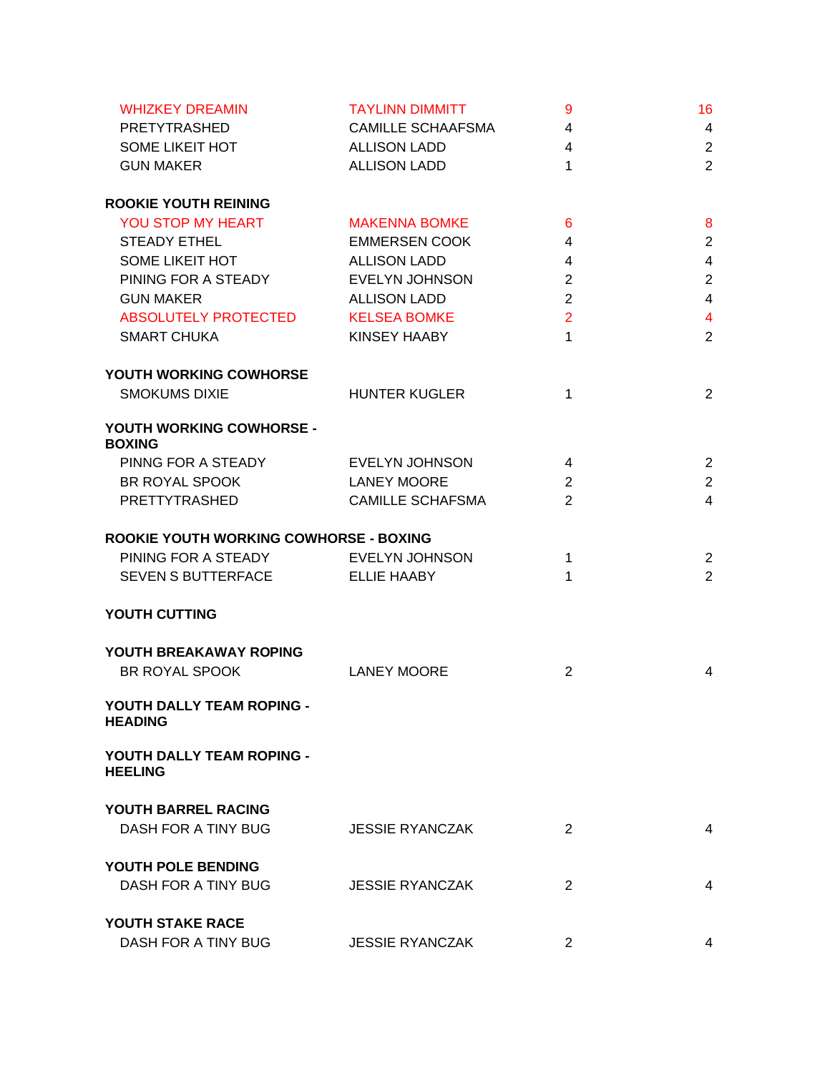| <b>WHIZKEY DREAMIN</b>                      | <b>TAYLINN DIMMITT</b>   | 9              | 16                      |
|---------------------------------------------|--------------------------|----------------|-------------------------|
| <b>PRETYTRASHED</b>                         | <b>CAMILLE SCHAAFSMA</b> | $\overline{4}$ | $\overline{4}$          |
| SOME LIKEIT HOT                             | <b>ALLISON LADD</b>      | $\overline{4}$ | $\overline{2}$          |
| <b>GUN MAKER</b>                            | <b>ALLISON LADD</b>      | $\mathbf{1}$   | $\overline{2}$          |
| <b>ROOKIE YOUTH REINING</b>                 |                          |                |                         |
| YOU STOP MY HEART                           | <b>MAKENNA BOMKE</b>     | 6              | 8                       |
| <b>STEADY ETHEL</b>                         | <b>EMMERSEN COOK</b>     | 4              | $\overline{2}$          |
| SOME LIKEIT HOT                             | <b>ALLISON LADD</b>      | 4              | $\overline{4}$          |
| PINING FOR A STEADY                         | <b>EVELYN JOHNSON</b>    | $\overline{2}$ | $\boldsymbol{2}$        |
| <b>GUN MAKER</b>                            | <b>ALLISON LADD</b>      | $\overline{2}$ | $\overline{\mathbf{4}}$ |
| ABSOLUTELY PROTECTED                        | <b>KELSEA BOMKE</b>      | $\overline{2}$ | $\overline{\mathbf{4}}$ |
| <b>SMART CHUKA</b>                          | KINSEY HAABY             | $\mathbf{1}$   | $\overline{2}$          |
| YOUTH WORKING COWHORSE                      |                          |                |                         |
| <b>SMOKUMS DIXIE</b>                        | <b>HUNTER KUGLER</b>     | 1              | $\overline{2}$          |
| YOUTH WORKING COWHORSE -<br><b>BOXING</b>   |                          |                |                         |
| PINNG FOR A STEADY                          | <b>EVELYN JOHNSON</b>    | 4              | $\overline{2}$          |
| BR ROYAL SPOOK                              | <b>LANEY MOORE</b>       | 2              | $\overline{2}$          |
| PRETTYTRASHED                               | <b>CAMILLE SCHAFSMA</b>  | $\overline{2}$ | $\overline{4}$          |
| ROOKIE YOUTH WORKING COWHORSE - BOXING      |                          |                |                         |
| PINING FOR A STEADY EVELYN JOHNSON          |                          | $\mathbf 1$    | $\overline{2}$          |
| SEVEN S BUTTERFACE                          | <b>ELLIE HAABY</b>       | 1              | $\overline{2}$          |
| YOUTH CUTTING                               |                          |                |                         |
| YOUTH BREAKAWAY ROPING                      |                          |                |                         |
| BR ROYAL SPOOK                              | <b>LANEY MOORE</b>       | $\overline{2}$ | 4                       |
| YOUTH DALLY TEAM ROPING -<br><b>HEADING</b> |                          |                |                         |
| YOUTH DALLY TEAM ROPING -<br><b>HEELING</b> |                          |                |                         |
| <b>YOUTH BARREL RACING</b>                  |                          |                |                         |
| DASH FOR A TINY BUG                         | <b>JESSIE RYANCZAK</b>   | 2              | 4                       |
| YOUTH POLE BENDING                          |                          |                |                         |
| DASH FOR A TINY BUG                         | <b>JESSIE RYANCZAK</b>   | $\overline{2}$ | 4                       |
| YOUTH STAKE RACE                            |                          |                |                         |
| DASH FOR A TINY BUG                         | <b>JESSIE RYANCZAK</b>   | $\overline{2}$ | 4                       |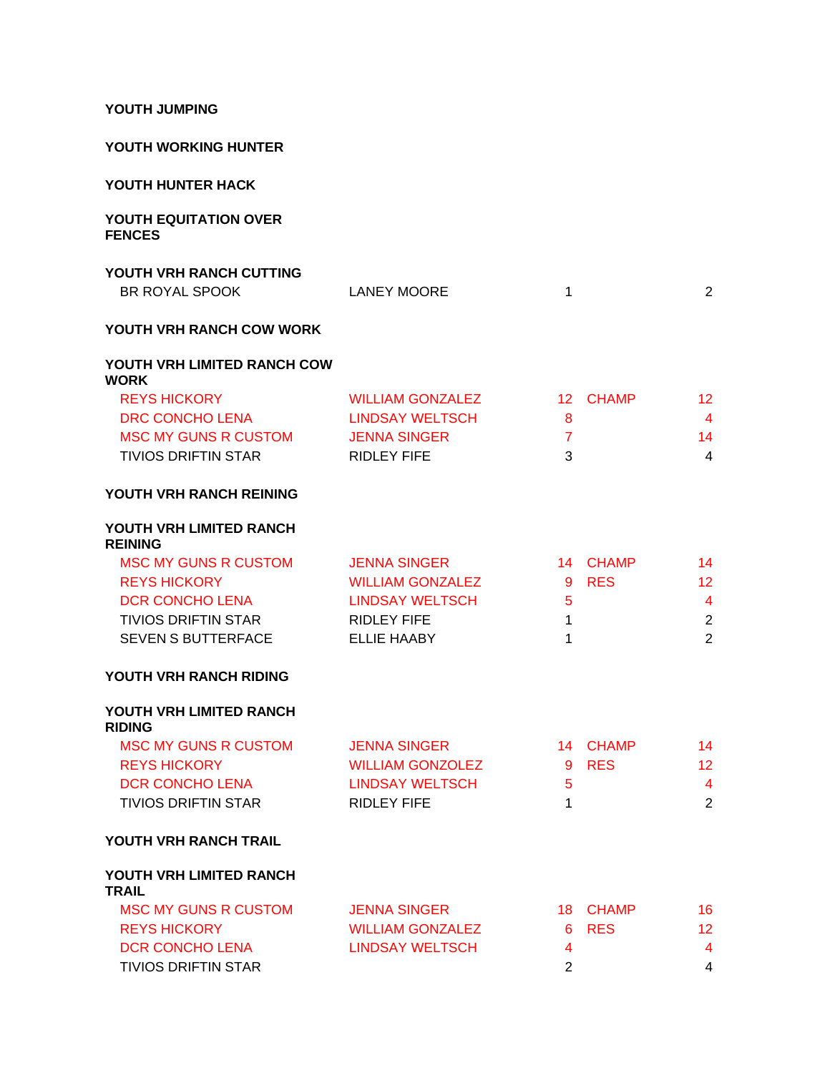**YOUTH JUMPING**

### **YOUTH WORKING HUNTER**

### **YOUTH HUNTER HACK**

#### **YOUTH EQUITATION OVER FENCES**

# **YOUTH VRH RANCH CUTTING**

|  | BR ROYAL SPOOK | <b>LANEY MOORE</b> |  |  |
|--|----------------|--------------------|--|--|
|--|----------------|--------------------|--|--|

### **YOUTH VRH RANCH COW WORK**

#### **YOUTH VRH LIMITED RANCH COW WORK**

| <b>REYS HICKORY</b>        | WILLIAM GONZALEZ    | 12 CHAMP | -12. |
|----------------------------|---------------------|----------|------|
| DRC CONCHO LENA            | LINDSAY WELTSCH     |          |      |
| MSC MY GUNS R CUSTOM       | <b>JENNA SINGER</b> |          | 14.  |
| <b>TIVIOS DRIFTIN STAR</b> | RIDI FY FIFF        |          | 4    |

# **YOUTH VRH RANCH REINING**

#### **YOUTH VRH LIMITED RANCH REINING**

| <b>MSC MY GUNS R CUSTOM</b> | <b>JENNA SINGER</b>     |   | 14 CHAMP | 14  |
|-----------------------------|-------------------------|---|----------|-----|
| <b>REYS HICKORY</b>         | <b>WILLIAM GONZALEZ</b> |   | 9 RES    | 12. |
| DCR CONCHO LENA             | LINDSAY WELTSCH         | h |          | 4   |
| <b>TIVIOS DRIFTIN STAR</b>  | RIDI FY FIFF            |   |          | 2   |
| <b>SEVEN S BUTTERFACE</b>   | <b>ELLIE HAABY</b>      |   |          |     |

#### **YOUTH VRH RANCH RIDING**

#### **YOUTH VRH LIMITED RANCH RIDING**

| MSC MY GUNS R CUSTOM       | <b>JENNA SINGER</b> |            | 14 CHAMP | 14  |
|----------------------------|---------------------|------------|----------|-----|
| <b>REYS HICKORY</b>        | WILLIAM GONZOLEZ    |            | 9 RFS    | 12. |
| DCR CONCHO LENA            | LINDSAY WELTSCH     | $\sqrt{2}$ |          | 4   |
| <b>TIVIOS DRIFTIN STAR</b> | RIDI EY FIFF        |            |          |     |

#### **YOUTH VRH RANCH TRAIL**

#### **YOUTH VRH LIMITED RANCH TRAIL**

| MSC MY GUNS R CUSTOM | <b>JENNA SINGER</b>     | 18 CHAMP | 16 |
|----------------------|-------------------------|----------|----|
| <b>REYS HICKORY</b>  | <b>WILLIAM GONZALEZ</b> | 6 RES    | 12 |
| DCR CONCHO LENA      | LINDSAY WELTSCH         |          | 4  |
| TIVIOS DRIFTIN STAR  |                         |          | 4  |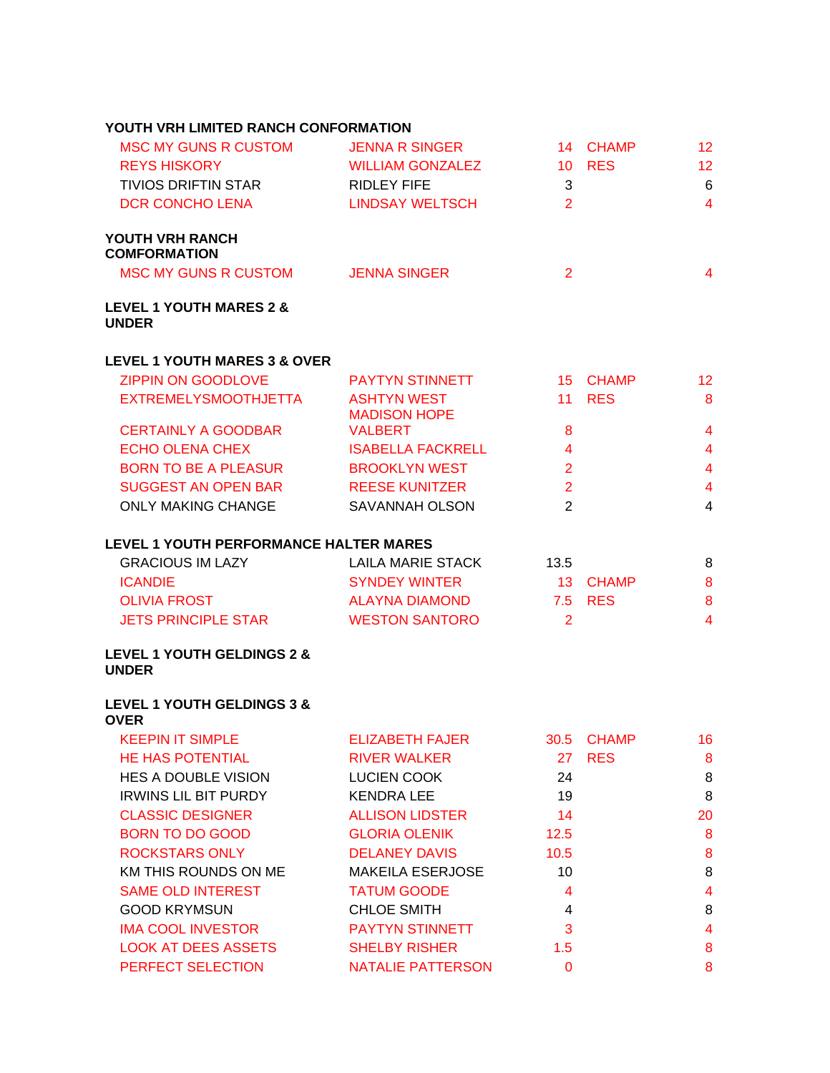# **YOUTH VRH LIMITED RANCH CONFORMATION**

| <b>MSC MY GUNS R CUSTOM</b>            | <b>JENNA R SINGER</b>   |    | 14 CHAMP   | 12 |
|----------------------------------------|-------------------------|----|------------|----|
| <b>REYS HISKORY</b>                    | <b>WILLIAM GONZALEZ</b> | 10 | <b>RES</b> | 12 |
| <b>TIVIOS DRIFTIN STAR</b>             | RIDLEY FIFE             | 3  |            | 6  |
| DCR CONCHO LENA                        | LINDSAY WELTSCH         | 2  |            | 4  |
| YOUTH VRH RANCH<br><b>COMFORMATION</b> |                         |    |            |    |
| <b>MSC MY GUNS R CUSTOM</b>            | <b>JENNA SINGER</b>     | 2  |            | 4  |
| <b>LEVEL 1 YOUTH MARES 2 &amp;</b>     |                         |    |            |    |

### **UNDER**

# **LEVEL 1 YOUTH MARES 3 & OVER**

| <b>ZIPPIN ON GOODLOVE</b>   | <b>PAYTYN STINNETT</b>                    |    | 15 CHAMP   | 12. |
|-----------------------------|-------------------------------------------|----|------------|-----|
| <b>EXTREMELYSMOOTHJETTA</b> | <b>ASHTYN WEST</b><br><b>MADISON HOPE</b> | 11 | <b>RES</b> | 8   |
| <b>CERTAINLY A GOODBAR</b>  | <b>VALBERT</b>                            | 8  |            | 4   |
| ECHO OLENA CHEX             | <b>ISABELLA FACKRELL</b>                  | 4  |            | 4   |
| <b>BORN TO BE A PLEASUR</b> | <b>BROOKLYN WEST</b>                      | 2  |            | 4   |
| <b>SUGGEST AN OPEN BAR</b>  | <b>REESE KUNITZER</b>                     | 2  |            | 4   |
| <b>ONLY MAKING CHANGE</b>   | <b>SAVANNAH OLSON</b>                     | 2  |            | 4   |

### **LEVEL 1 YOUTH PERFORMANCE HALTER MARES**

| <b>GRACIOUS IM LAZY</b>    | LAILA MARIE STACK     | 13.5 |          | 8              |
|----------------------------|-----------------------|------|----------|----------------|
| <b>ICANDIE</b>             | <b>SYNDEY WINTER</b>  |      | 13 CHAMP | 8              |
| <b>OLIVIA FROST</b>        | ALAYNA DIAMOND        |      | 75 RFS   | 8              |
| <b>JETS PRINCIPLE STAR</b> | <b>WESTON SANTORO</b> |      |          | $\overline{A}$ |

#### **LEVEL 1 YOUTH GELDINGS 2 & UNDER**

### **LEVEL 1 YOUTH GELDINGS 3 & OVER**

| <b>KEEPIN IT SIMPLE</b>     | <b>ELIZABETH FAJER</b>  |                | 30.5 CHAMP | 16 |
|-----------------------------|-------------------------|----------------|------------|----|
| <b>HE HAS POTENTIAL</b>     | <b>RIVER WALKER</b>     |                | 27 RES     | 8  |
| <b>HES A DOUBLE VISION</b>  | LUCIEN COOK             | 24             |            | 8  |
| <b>IRWINS LIL BIT PURDY</b> | <b>KENDRA LEE</b>       | 19             |            | 8  |
| <b>CLASSIC DESIGNER</b>     | <b>ALLISON LIDSTER</b>  | 14             |            | 20 |
| BORN TO DO GOOD             | <b>GLORIA OLENIK</b>    | 12.5           |            | 8  |
| <b>ROCKSTARS ONLY</b>       | <b>DELANEY DAVIS</b>    | 10.5           |            | 8  |
| KM THIS ROUNDS ON ME        | <b>MAKEILA ESERJOSE</b> | 10             |            | 8  |
| <b>SAME OLD INTEREST</b>    | <b>TATUM GOODE</b>      | 4              |            | 4  |
| <b>GOOD KRYMSUN</b>         | <b>CHLOE SMITH</b>      | $\overline{4}$ |            | 8  |
| <b>IMA COOL INVESTOR</b>    | <b>PAYTYN STINNETT</b>  | 3              |            | 4  |
| <b>LOOK AT DEES ASSETS</b>  | <b>SHELBY RISHER</b>    | 1.5            |            | 8  |
| PERFECT SELECTION           | NATALIE PATTERSON       | 0              |            | 8  |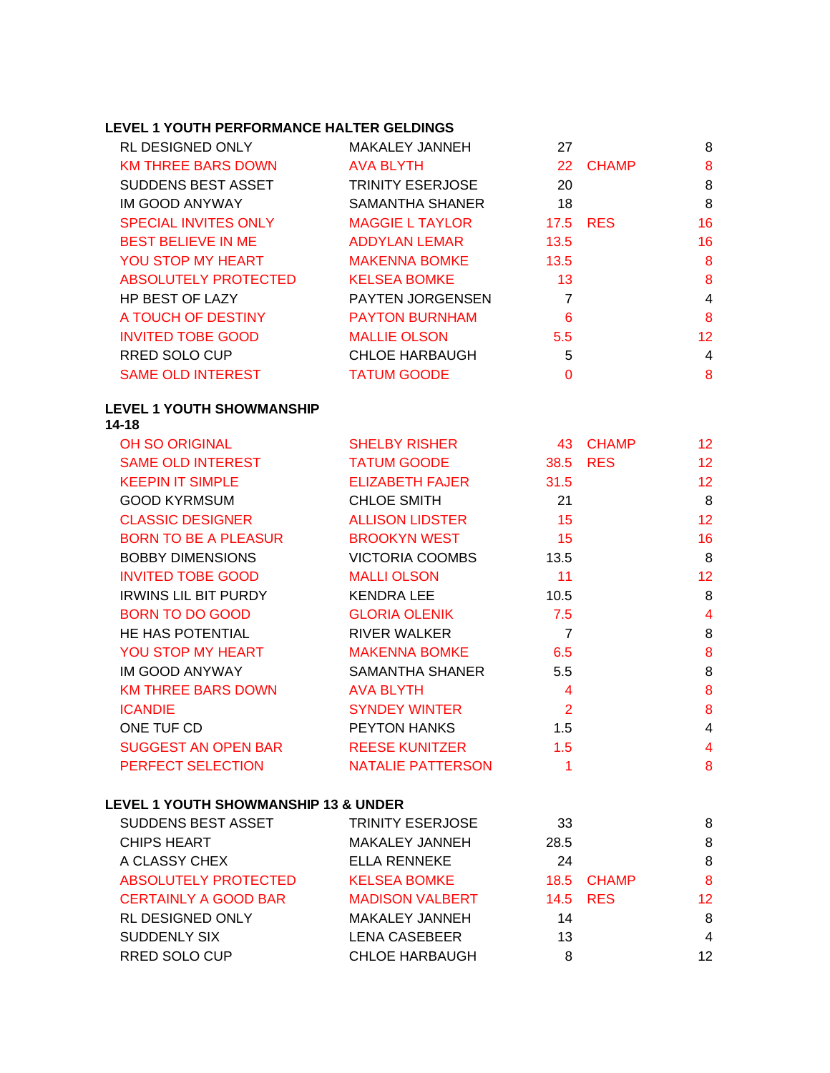# **LEVEL 1 YOUTH PERFORMANCE HALTER GELDINGS**

| <b>RL DESIGNED ONLY</b>     | MAKALEY JANNEH          | 27             |            | 8  |
|-----------------------------|-------------------------|----------------|------------|----|
| <b>KM THREE BARS DOWN</b>   | <b>AVA BLYTH</b>        |                | 22 CHAMP   | 8  |
| <b>SUDDENS BEST ASSET</b>   | <b>TRINITY ESERJOSE</b> | 20             |            | 8  |
| IM GOOD ANYWAY              | SAMANTHA SHANER         | 18             |            | 8  |
| <b>SPECIAL INVITES ONLY</b> | <b>MAGGIE L TAYLOR</b>  | 17.5           | <b>RES</b> | 16 |
| <b>BEST BELIEVE IN ME</b>   | ADDYLAN LEMAR           | 13.5           |            | 16 |
| <b>YOU STOP MY HEART</b>    | <b>MAKENNA BOMKE</b>    | 13.5           |            | 8  |
| <b>ABSOLUTELY PROTECTED</b> | <b>KELSEA BOMKE</b>     | 13             |            | 8  |
| <b>HP BEST OF LAZY</b>      | <b>PAYTEN JORGENSEN</b> | $\overline{7}$ |            | 4  |
| A TOUCH OF DESTINY          | <b>PAYTON BURNHAM</b>   | 6              |            | 8  |
| <b>INVITED TOBE GOOD</b>    | <b>MALLIE OLSON</b>     | 5.5            |            | 12 |
| RRED SOLO CUP               | <b>CHLOE HARBAUGH</b>   | 5              |            | 4  |
| <b>SAME OLD INTEREST</b>    | <b>TATUM GOODE</b>      | 0              |            | 8  |

#### **LEVEL 1 YOUTH SHOWMANSHIP 14-18**

| <b>OH SO ORIGINAL</b>       | <b>SHELBY RISHER</b>     | 43             | <b>CHAMP</b> | 12 <sub>2</sub> |
|-----------------------------|--------------------------|----------------|--------------|-----------------|
| <b>SAME OLD INTEREST</b>    | <b>TATUM GOODE</b>       | 38.5           | <b>RES</b>   | 12              |
| <b>KEEPIN IT SIMPLE</b>     | <b>ELIZABETH FAJER</b>   | 31.5           |              | 12 <sub>2</sub> |
| <b>GOOD KYRMSUM</b>         | <b>CHLOE SMITH</b>       | 21             |              | 8               |
| <b>CLASSIC DESIGNER</b>     | <b>ALLISON LIDSTER</b>   | 15             |              | 12 <sub>2</sub> |
| <b>BORN TO BE A PLEASUR</b> | <b>BROOKYN WEST</b>      | 15             |              | 16              |
| <b>BOBBY DIMENSIONS</b>     | <b>VICTORIA COOMBS</b>   | 13.5           |              | 8               |
| <b>INVITED TOBE GOOD</b>    | <b>MALLI OLSON</b>       | 11             |              | 12 <sub>2</sub> |
| <b>IRWINS LIL BIT PURDY</b> | KENDRA LEE               | 10.5           |              | 8               |
| <b>BORN TO DO GOOD</b>      | <b>GLORIA OLENIK</b>     | 7.5            |              | 4               |
| HE HAS POTENTIAL            | <b>RIVER WALKER</b>      | $\overline{7}$ |              | 8               |
| YOU STOP MY HEART           | <b>MAKENNA BOMKE</b>     | 6.5            |              | 8               |
| IM GOOD ANYWAY              | SAMANTHA SHANER          | 5.5            |              | 8               |
| <b>KM THREE BARS DOWN</b>   | <b>AVA BLYTH</b>         | $\overline{4}$ |              | 8               |
| <b>ICANDIE</b>              | <b>SYNDEY WINTER</b>     | 2              |              | 8               |
| ONE TUF CD                  | <b>PEYTON HANKS</b>      | $1.5^{\circ}$  |              | 4               |
| SUGGEST AN OPEN BAR         | <b>REESE KUNITZER</b>    | 1.5            |              | 4               |
| PERFECT SELECTION           | <b>NATALIE PATTERSON</b> |                |              | 8               |

### **LEVEL 1 YOUTH SHOWMANSHIP 13 & UNDER**

| <b>SUDDENS BEST ASSET</b>   | <b>TRINITY ESERJOSE</b> | 33   |            | 8  |
|-----------------------------|-------------------------|------|------------|----|
| <b>CHIPS HEART</b>          | <b>MAKALEY JANNEH</b>   | 28.5 |            | 8  |
| A CLASSY CHEX               | <b>ELLA RENNEKE</b>     | 24   |            | 8  |
| <b>ABSOLUTELY PROTECTED</b> | <b>KELSEA BOMKE</b>     |      | 18.5 CHAMP | 8  |
| <b>CERTAINLY A GOOD BAR</b> | <b>MADISON VALBERT</b>  |      | 14.5 RES   | 12 |
| <b>RL DESIGNED ONLY</b>     | <b>MAKALEY JANNEH</b>   | 14   |            | 8  |
| <b>SUDDENLY SIX</b>         | <b>LENA CASEBEER</b>    | 13   |            | 4  |
| <b>RRED SOLO CUP</b>        | <b>CHLOE HARBAUGH</b>   | 8    |            | 12 |
|                             |                         |      |            |    |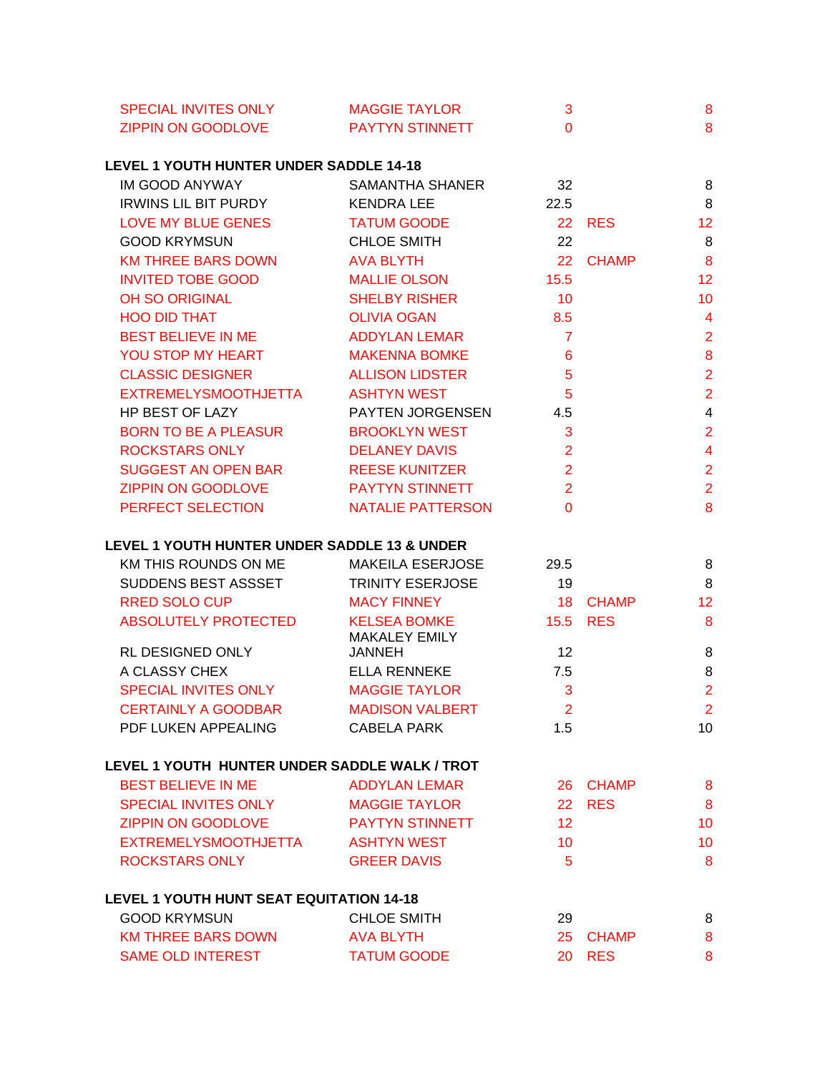| <b>SPECIAL INVITES ONLY</b> | <b>MAGGIE TAYLOR</b>   |  |
|-----------------------------|------------------------|--|
| ZIPPIN ON GOODLOVE          | <b>PAYTYN STINNETT</b> |  |

### **LEVEL 1 YOUTH HUNTER UNDER SADDLE 14-18**

| <b>KENDRA LEE</b>      | 22.5               |                        |
|------------------------|--------------------|------------------------|
|                        |                    | 8                      |
|                        |                    | 12                     |
| <b>CHLOE SMITH</b>     | 22                 | 8                      |
| <b>AVA BLYTH</b>       | 22                 | 8                      |
| <b>MALLIE OLSON</b>    | 15.5               | 12                     |
| <b>SHELBY RISHER</b>   | 10                 | 10                     |
| <b>OLIVIA OGAN</b>     | 8.5                | 4                      |
| ADDYLAN LEMAR          | $\overline{7}$     | $\overline{2}$         |
| <b>MAKENNA BOMKE</b>   | 6                  | 8                      |
| <b>ALLISON LIDSTER</b> | 5                  | $\overline{2}$         |
| ASHTYN WEST            | 5                  | $\overline{2}$         |
| PAYTEN JORGENSEN       | 4.5                | 4                      |
| <b>BROOKLYN WEST</b>   | 3                  | $\overline{2}$         |
| <b>DELANEY DAVIS</b>   | $\overline{2}$     | 4                      |
| <b>REESE KUNITZER</b>  | $\overline{2}$     | $\overline{2}$         |
| <b>PAYTYN STINNETT</b> | $\overline{2}$     | $\overline{2}$         |
| NATALIE PATTERSON      | $\Omega$           | 8                      |
|                        | <b>TATUM GOODE</b> | 22 RES<br><b>CHAMP</b> |

### **LEVEL 1 YOUTH HUNTER UNDER SADDLE 13 & UNDER**

| KM THIS ROUNDS ON ME        | <b>MAKEILA ESERJOSE</b>                     | 29.5 |              | 8               |
|-----------------------------|---------------------------------------------|------|--------------|-----------------|
| <b>SUDDENS BEST ASSSET</b>  | <b>TRINITY ESERJOSE</b>                     | 19   |              | 8               |
| <b>RRED SOLO CUP</b>        | <b>MACY FINNEY</b>                          | 18.  | <b>CHAMP</b> | 12 <sup>2</sup> |
| <b>ABSOLUTELY PROTECTED</b> | <b>KELSEA BOMKE</b><br><b>MAKALEY EMILY</b> |      | 15.5 RES     | 8               |
| RL DESIGNED ONLY            | <b>JANNEH</b>                               | 12   |              | 8               |
| A CLASSY CHEX               | ELLA RENNEKE                                | 7.5  |              | 8               |
| <b>SPECIAL INVITES ONLY</b> | <b>MAGGIE TAYLOR</b>                        | 3    |              | 2               |
| <b>CERTAINLY A GOODBAR</b>  | <b>MADISON VALBERT</b>                      | 2    |              | 2               |
| PDF LUKEN APPEALING         | <b>CABELA PARK</b>                          | 1.5  |              | 10              |

#### **LEVEL 1 YOUTH HUNTER UNDER SADDLE WALK / TROT**

| <b>BEST BELIEVE IN ME</b>   | ADDYLAN LEMAR          | 26 CHAMP | 8  |
|-----------------------------|------------------------|----------|----|
| <b>SPECIAL INVITES ONLY</b> | <b>MAGGIE TAYLOR</b>   | 22 RES   | 8  |
| <b>ZIPPIN ON GOODLOVE</b>   | <b>PAYTYN STINNETT</b> | 12       | 10 |
| <b>EXTREMELYSMOOTHJETTA</b> | <b>ASHTYN WEST</b>     | 10       | 10 |
| ROCKSTARS ONLY              | <b>GREER DAVIS</b>     | h        | 8  |
|                             |                        |          |    |

### **LEVEL 1 YOUTH HUNT SEAT EQUITATION 14-18**

| <b>GOOD KRYMSUN</b>      | CHLOE SMITH        | 29       |  |
|--------------------------|--------------------|----------|--|
| KM THREE BARS DOWN       | AVA BLYTH          | 25 CHAMP |  |
| <b>SAME OLD INTEREST</b> | <b>TATUM GOODE</b> | 20 RES   |  |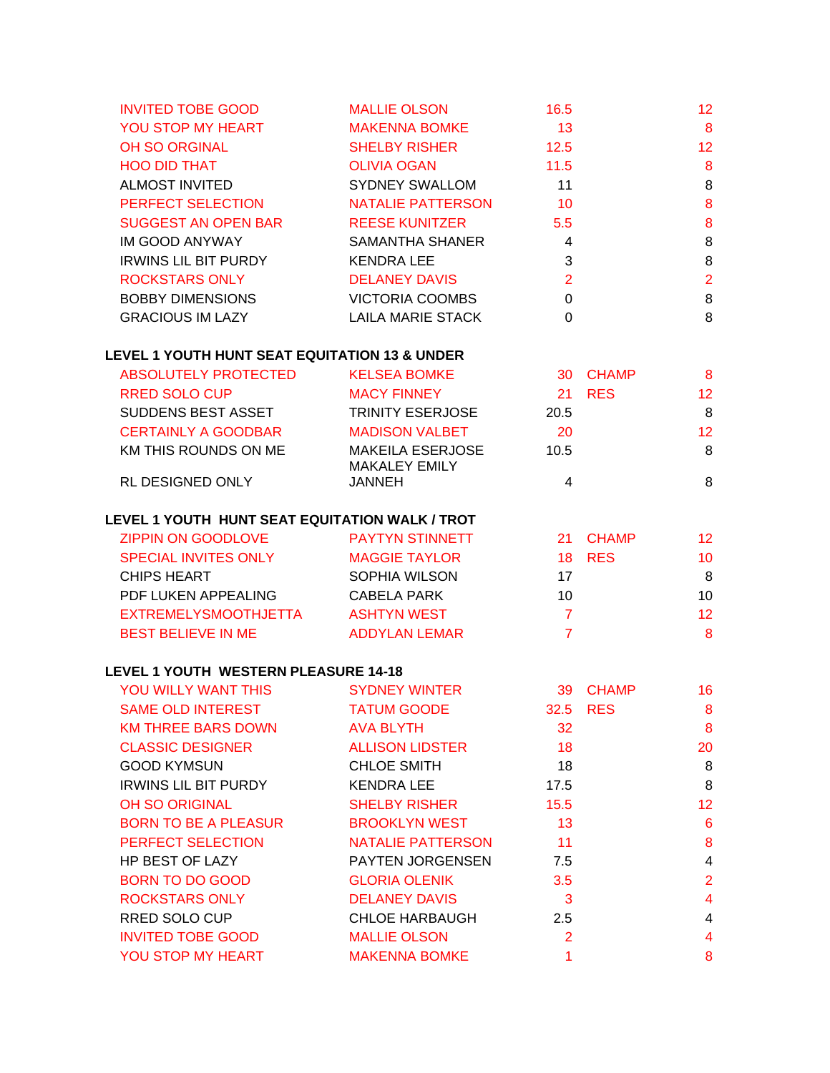| <b>INVITED TOBE GOOD</b>                                 | <b>MALLIE OLSON</b>      | 16.5                    |               | 12                      |
|----------------------------------------------------------|--------------------------|-------------------------|---------------|-------------------------|
| YOU STOP MY HEART                                        | <b>MAKENNA BOMKE</b>     | 13                      |               | $\bf{8}$                |
| <b>OH SO ORGINAL</b>                                     | <b>SHELBY RISHER</b>     | 12.5                    |               | 12                      |
| <b>HOO DID THAT</b>                                      | <b>OLIVIA OGAN</b>       | 11.5                    |               | $\boldsymbol{8}$        |
| <b>ALMOST INVITED</b>                                    | SYDNEY SWALLOM           | 11                      |               | $\,8\,$                 |
| PERFECT SELECTION                                        | <b>NATALIE PATTERSON</b> | $\overline{10}$         |               | $\boldsymbol{8}$        |
| <b>SUGGEST AN OPEN BAR</b>                               | <b>REESE KUNITZER</b>    | 5.5                     |               | $\bf 8$                 |
| IM GOOD ANYWAY                                           | SAMANTHA SHANER          | $\overline{4}$          |               | $\,8\,$                 |
| <b>IRWINS LIL BIT PURDY</b>                              | <b>KENDRA LEE</b>        | $\mathbf{3}$            |               | 8                       |
| <b>ROCKSTARS ONLY</b>                                    | <b>DELANEY DAVIS</b>     | $\overline{2}$          |               | $\overline{2}$          |
| <b>BOBBY DIMENSIONS</b>                                  | <b>VICTORIA COOMBS</b>   | $\overline{0}$          |               | $\, 8$                  |
| <b>GRACIOUS IM LAZY</b>                                  | <b>LAILA MARIE STACK</b> | $\overline{0}$          |               | $\,8\,$                 |
| <b>LEVEL 1 YOUTH HUNT SEAT EQUITATION 13 &amp; UNDER</b> |                          |                         |               |                         |
| ABSOLUTELY PROTECTED                                     | <b>KELSEA BOMKE</b>      |                         | 30 CHAMP      | 8                       |
| RRED SOLO CUP                                            | <b>MACY FINNEY</b>       |                         | 21 RES        | 12                      |
| SUDDENS BEST ASSET                                       | TRINITY ESERJOSE         | 20.5                    |               | 8                       |
| <b>CERTAINLY A GOODBAR</b>                               | <b>MADISON VALBET</b>    | 20                      |               | 12                      |
| KM THIS ROUNDS ON ME                                     | <b>MAKEILA ESERJOSE</b>  | 10.5                    |               | 8                       |
|                                                          | <b>MAKALEY EMILY</b>     |                         |               |                         |
| RL DESIGNED ONLY                                         | <b>JANNEH</b>            | 4                       |               | $\, 8$                  |
| LEVEL 1 YOUTH HUNT SEAT EQUITATION WALK / TROT           |                          |                         |               |                         |
| <b>ZIPPIN ON GOODLOVE</b>                                | <b>PAYTYN STINNETT</b>   |                         | 21 CHAMP      | 12                      |
| SPECIAL INVITES ONLY                                     | <b>MAGGIE TAYLOR</b>     |                         | <b>18 RES</b> | 10                      |
| <b>CHIPS HEART</b>                                       | SOPHIA WILSON            | 17                      |               | 8                       |
| PDF LUKEN APPEALING                                      | <b>CABELA PARK</b>       | 10 <sup>°</sup>         |               | 10                      |
| <b>EXTREMELYSMOOTHJETTA</b>                              | ASHTYN WEST              | $\overline{7}$          |               | 12                      |
| <b>BEST BELIEVE IN ME</b>                                | <b>ADDYLAN LEMAR</b>     | $\overline{7}$          |               | 8                       |
| <b>LEVEL 1 YOUTH WESTERN PLEASURE 14-18</b>              |                          |                         |               |                         |
| YOU WILLY WANT THIS                                      | <b>SYDNEY WINTER</b>     |                         | 39 CHAMP      | 16                      |
| SAME OLD INTEREST TATUM GOODE                            |                          |                         | 32.5 RES      | 8                       |
| <b>KM THREE BARS DOWN</b>                                | <b>AVA BLYTH</b>         | 32                      |               | 8                       |
| <b>CLASSIC DESIGNER</b>                                  | <b>ALLISON LIDSTER</b>   | 18                      |               | 20                      |
| <b>GOOD KYMSUN</b>                                       | <b>CHLOE SMITH</b>       | 18                      |               | 8                       |
| <b>IRWINS LIL BIT PURDY</b>                              | <b>KENDRA LEE</b>        | 17.5                    |               | 8                       |
| OH SO ORIGINAL                                           | <b>SHELBY RISHER</b>     | 15.5                    |               | 12                      |
| <b>BORN TO BE A PLEASUR</b>                              | <b>BROOKLYN WEST</b>     | 13                      |               | $6\phantom{1}6$         |
| PERFECT SELECTION                                        | NATALIE PATTERSON        | 11                      |               | $\bf 8$                 |
| HP BEST OF LAZY                                          | PAYTEN JORGENSEN         | 7.5                     |               | $\overline{\mathbf{4}}$ |
| <b>BORN TO DO GOOD</b>                                   | <b>GLORIA OLENIK</b>     | 3.5                     |               | $\overline{2}$          |
| <b>ROCKSTARS ONLY</b>                                    | <b>DELANEY DAVIS</b>     | $\overline{\mathbf{3}}$ |               | $\overline{\mathbf{4}}$ |
| RRED SOLO CUP                                            | <b>CHLOE HARBAUGH</b>    | 2.5                     |               | $\overline{\mathbf{4}}$ |
| <b>INVITED TOBE GOOD</b>                                 | <b>MALLIE OLSON</b>      | $\overline{2}$          |               | $\overline{\mathbf{4}}$ |
| YOU STOP MY HEART                                        | <b>MAKENNA BOMKE</b>     | 1                       |               | 8                       |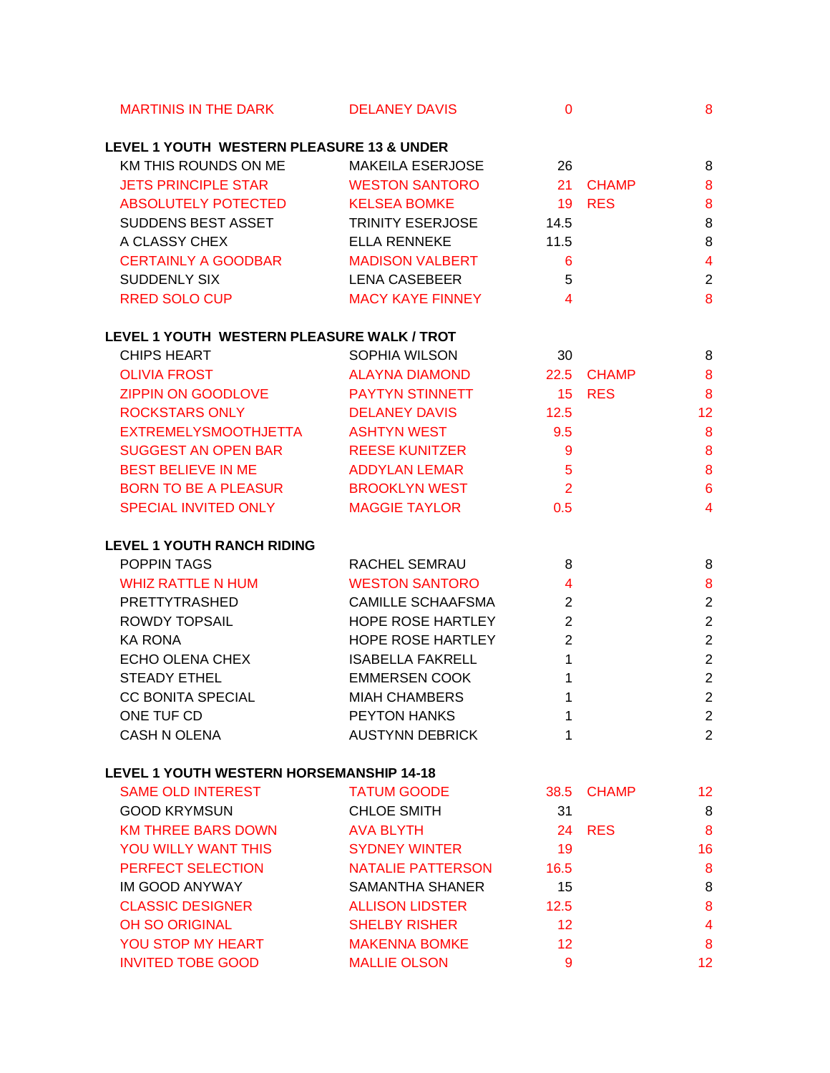| <b>MARTINIS IN THE DARK</b>                | <b>DELANEY DAVIS</b>     | $\mathbf{0}$               |               | 8                       |
|--------------------------------------------|--------------------------|----------------------------|---------------|-------------------------|
| LEVEL 1 YOUTH WESTERN PLEASURE 13 & UNDER  |                          |                            |               |                         |
| KM THIS ROUNDS ON ME                       | <b>MAKEILA ESERJOSE</b>  | 26                         |               | 8                       |
| <b>JETS PRINCIPLE STAR</b>                 | <b>WESTON SANTORO</b>    |                            | 21 CHAMP      | 8                       |
| ABSOLUTELY POTECTED                        | <b>KELSEA BOMKE</b>      | 19                         | <b>RES</b>    | 8                       |
| SUDDENS BEST ASSET                         | <b>TRINITY ESERJOSE</b>  | 14.5                       |               | 8                       |
| A CLASSY CHEX                              | <b>ELLA RENNEKE</b>      | 11.5                       |               | 8                       |
| <b>CERTAINLY A GOODBAR</b>                 | <b>MADISON VALBERT</b>   | 6                          |               | $\overline{\mathbf{4}}$ |
| SUDDENLY SIX                               | <b>LENA CASEBEER</b>     | 5                          |               | $\sqrt{2}$              |
| <b>RRED SOLO CUP</b>                       | <b>MACY KAYE FINNEY</b>  | $\overline{4}$             |               | $\bf{8}$                |
| LEVEL 1 YOUTH WESTERN PLEASURE WALK / TROT |                          |                            |               |                         |
| <b>CHIPS HEART</b>                         | SOPHIA WILSON            | 30                         |               | 8                       |
| <b>OLIVIA FROST</b>                        | <b>ALAYNA DIAMOND</b>    |                            | 22.5 CHAMP    | 8                       |
| ZIPPIN ON GOODLOVE                         | <b>PAYTYN STINNETT</b>   |                            | <b>15 RES</b> | 8                       |
| <b>ROCKSTARS ONLY</b>                      | <b>DELANEY DAVIS</b>     | 12.5                       |               | 12                      |
| <b>EXTREMELYSMOOTHJETTA</b>                | <b>ASHTYN WEST</b>       | 9.5                        |               | 8                       |
| <b>SUGGEST AN OPEN BAR</b>                 | <b>REESE KUNITZER</b>    | 9                          |               | $\bf 8$                 |
| <b>BEST BELIEVE IN ME</b>                  | <b>ADDYLAN LEMAR</b>     | $5\phantom{1}$             |               | $\boldsymbol{8}$        |
| BORN TO BE A PLEASUR                       | <b>BROOKLYN WEST</b>     | $\overline{\phantom{0}}$ 2 |               | $6\phantom{a}$          |
| SPECIAL INVITED ONLY                       | <b>MAGGIE TAYLOR</b>     | 0.5                        |               | $\overline{4}$          |
| <b>LEVEL 1 YOUTH RANCH RIDING</b>          |                          |                            |               |                         |
| POPPIN TAGS                                | RACHEL SEMRAU            | 8                          |               | 8                       |
| <b>WHIZ RATTLE N HUM</b>                   | <b>WESTON SANTORO</b>    | $\overline{4}$             |               | $\bf 8$                 |
| PRETTYTRASHED                              | <b>CAMILLE SCHAAFSMA</b> | $\overline{2}$             |               | $\overline{2}$          |
| <b>ROWDY TOPSAIL</b>                       | <b>HOPE ROSE HARTLEY</b> | $\overline{2}$             |               | $\overline{2}$          |
| <b>KA RONA</b>                             | <b>HOPE ROSE HARTLEY</b> | $\overline{2}$             |               | $\sqrt{2}$              |
| ECHO OLENA CHEX                            | <b>ISABELLA FAKRELL</b>  | $\mathbf{1}$               |               | $\overline{2}$          |
| <b>STEADY ETHEL</b>                        | <b>EMMERSEN COOK</b>     | 1                          |               | $\boldsymbol{2}$        |
| <b>CC BONITA SPECIAL</b>                   | <b>MIAH CHAMBERS</b>     | $\mathbf{1}$               |               | $\overline{2}$          |
| ONE TUF CD                                 | <b>PEYTON HANKS</b>      | 1                          |               | $\overline{2}$          |
| <b>CASH N OLENA</b>                        | <b>AUSTYNN DEBRICK</b>   | 1                          |               | $\overline{2}$          |
| LEVEL 1 YOUTH WESTERN HORSEMANSHIP 14-18   |                          |                            |               |                         |
| <b>SAME OLD INTEREST</b>                   | <b>TATUM GOODE</b>       | 38.5                       | <b>CHAMP</b>  | 12                      |
| <b>GOOD KRYMSUN</b>                        | <b>CHLOE SMITH</b>       | 31                         |               | 8                       |
| <b>KM THREE BARS DOWN</b>                  | <b>AVA BLYTH</b>         | 24                         | <b>RES</b>    | $\boldsymbol{8}$        |
| YOU WILLY WANT THIS                        | <b>SYDNEY WINTER</b>     | 19                         |               | 16                      |
| PERFECT SELECTION                          | NATALIE PATTERSON        | 16.5                       |               | 8                       |
| IM GOOD ANYWAY                             | <b>SAMANTHA SHANER</b>   | 15                         |               | 8                       |
| <b>CLASSIC DESIGNER</b>                    | <b>ALLISON LIDSTER</b>   | 12.5                       |               | $\bf 8$                 |
| OH SO ORIGINAL                             | <b>SHELBY RISHER</b>     | 12 <sup>2</sup>            |               | $\overline{\mathbf{4}}$ |
| YOU STOP MY HEART                          | <b>MAKENNA BOMKE</b>     | 12                         |               | 8                       |
| <b>INVITED TOBE GOOD</b>                   | <b>MALLIE OLSON</b>      | 9                          |               | 12                      |
|                                            |                          |                            |               |                         |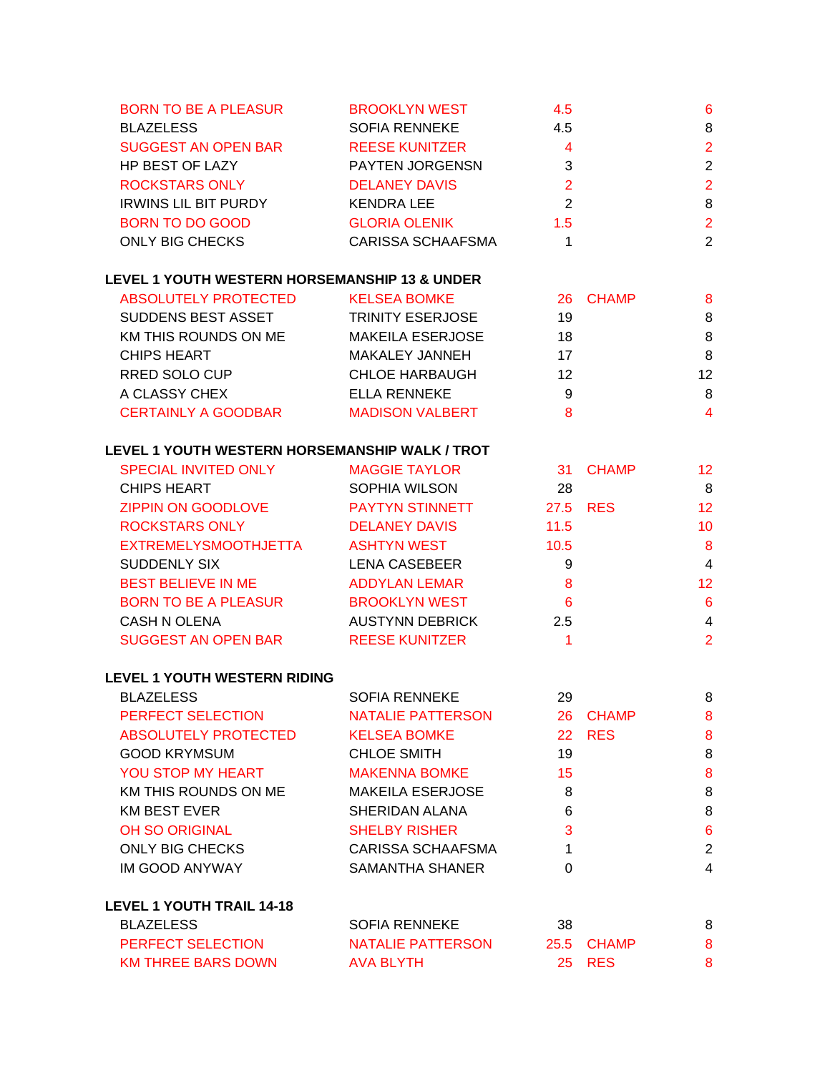| <b>BROOKLYN WEST</b>     | 4.5 | 6 |
|--------------------------|-----|---|
| <b>SOFIA RENNEKE</b>     | 4.5 | 8 |
| <b>REESE KUNITZER</b>    | 4   | 2 |
| <b>PAYTEN JORGENSN</b>   | 3   | 2 |
| <b>DELANEY DAVIS</b>     | 2   | 2 |
| <b>KENDRA LEE</b>        | 2   | 8 |
| <b>GLORIA OLENIK</b>     | 1.5 | 2 |
| <b>CARISSA SCHAAFSMA</b> |     | 2 |
|                          |     |   |

# **LEVEL 1 YOUTH WESTERN HORSEMANSHIP 13 & UNDER**

| <b>ABSOLUTELY PROTECTED</b> | <b>KELSEA BOMKE</b>     | 26 CHAMP | 8               |
|-----------------------------|-------------------------|----------|-----------------|
| SUDDENS BEST ASSET          | <b>TRINITY ESERJOSE</b> | 19       | 8               |
| KM THIS ROUNDS ON ME        | <b>MAKEILA ESERJOSE</b> | 18       | 8               |
| <b>CHIPS HEART</b>          | MAKALEY JANNEH          | 17       | 8               |
| RRED SOLO CUP               | <b>CHLOE HARBAUGH</b>   | 12       | 12 <sup>2</sup> |
| A CLASSY CHEX               | ELLA RENNEKE            | 9        | 8               |
| <b>CERTAINLY A GOODBAR</b>  | <b>MADISON VALBERT</b>  | 8        | 4               |

# **LEVEL 1 YOUTH WESTERN HORSEMANSHIP WALK / TROT**

| <b>SPECIAL INVITED ONLY</b> | <b>MAGGIE TAYLOR</b>   | 31 <sup>2</sup> | <b>CHAMP</b> | 12             |
|-----------------------------|------------------------|-----------------|--------------|----------------|
| CHIPS HEART                 | SOPHIA WILSON          | 28              |              | 8              |
| <b>ZIPPIN ON GOODLOVE</b>   | <b>PAYTYN STINNETT</b> |                 | 27.5 RES     | 12             |
| <b>ROCKSTARS ONLY</b>       | <b>DELANEY DAVIS</b>   | 11.5            |              | 10             |
| <b>EXTREMELYSMOOTHJETTA</b> | <b>ASHTYN WEST</b>     | 10.5            |              | 8              |
| SUDDENLY SIX                | <b>LENA CASEBEER</b>   | 9               |              | $\overline{4}$ |
| <b>BEST BELIEVE IN ME</b>   | <b>ADDYLAN LEMAR</b>   | 8               |              | 12             |
| <b>BORN TO BE A PLEASUR</b> | <b>BROOKLYN WEST</b>   | 6               |              | 6              |
| <b>CASH N OLENA</b>         | <b>AUSTYNN DEBRICK</b> | 2.5             |              | 4              |
| <b>SUGGEST AN OPEN BAR</b>  | <b>REESE KUNITZER</b>  |                 |              | 2              |

# **LEVEL 1 YOUTH WESTERN RIDING**

| <b>BLAZELESS</b>      | <b>SOFIA RENNEKE</b>     | 29                  | 8 |
|-----------------------|--------------------------|---------------------|---|
| PERFECT SELECTION     | NATALIE PATTERSON        | <b>CHAMP</b><br>26. | 8 |
| ABSOLUTELY PROTECTED  | <b>KELSEA BOMKE</b>      | 22 RES              | 8 |
| <b>GOOD KRYMSUM</b>   | <b>CHLOE SMITH</b>       | 19                  | 8 |
| YOU STOP MY HEART     | <b>MAKENNA BOMKE</b>     | 15                  | 8 |
| KM THIS ROUNDS ON ME  | <b>MAKEILA ESERJOSE</b>  | 8                   | 8 |
| <b>KM BEST EVER</b>   | SHERIDAN ALANA           | 6                   | 8 |
| <b>OH SO ORIGINAL</b> | <b>SHELBY RISHER</b>     | 3                   | 6 |
| ONLY BIG CHECKS       | <b>CARISSA SCHAAFSMA</b> |                     | 2 |
| <b>IM GOOD ANYWAY</b> | SAMANTHA SHANER          | 0                   | 4 |
|                       |                          |                     |   |

# **LEVEL 1 YOUTH TRAIL 14-18**

| BLAZELESS                | SOFIA RENNEKE     | 38 |            |  |
|--------------------------|-------------------|----|------------|--|
| <b>PERFECT SELECTION</b> | NATALIE PATTERSON |    | 25.5 CHAMP |  |
| KM THREE BARS DOWN       | AVA BLYTH         |    | 25 RES     |  |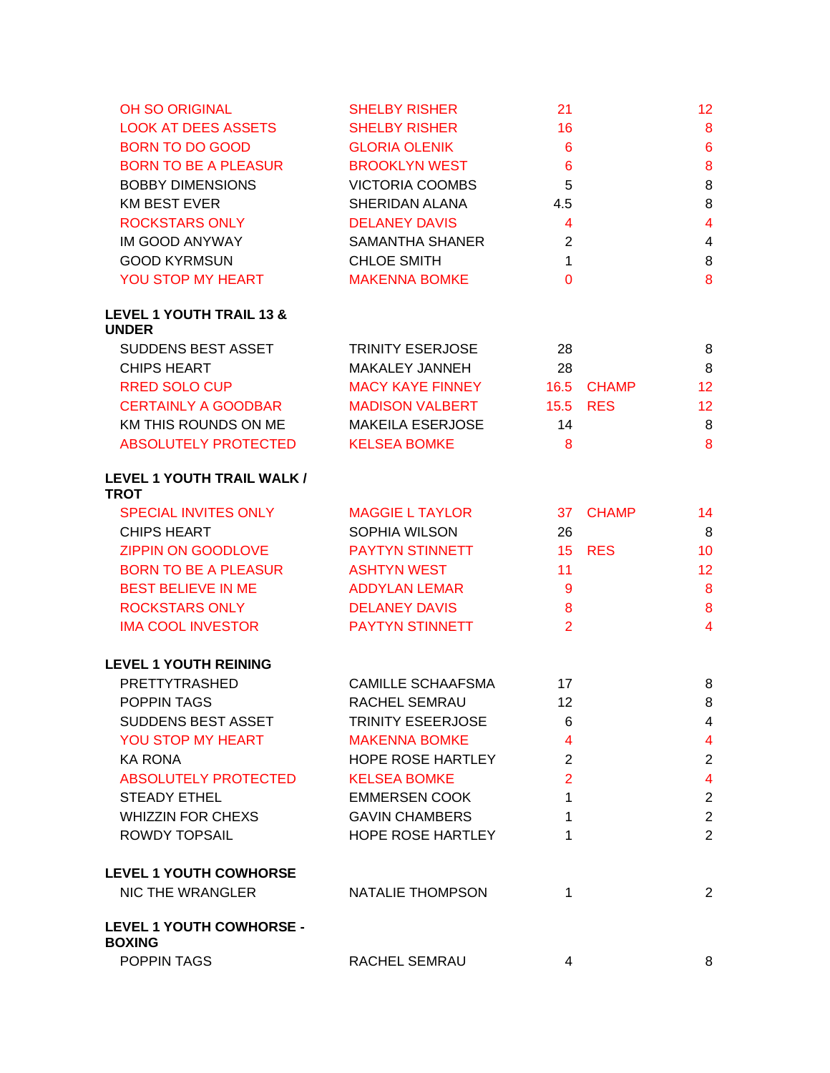| <b>OH SO ORIGINAL</b>                               | <b>SHELBY RISHER</b>     | 21              |               | 12 <sub>2</sub>         |
|-----------------------------------------------------|--------------------------|-----------------|---------------|-------------------------|
| <b>LOOK AT DEES ASSETS</b>                          | <b>SHELBY RISHER</b>     | 16              |               | 8                       |
| <b>BORN TO DO GOOD</b>                              | <b>GLORIA OLENIK</b>     | 6               |               | $6\phantom{1}$          |
| <b>BORN TO BE A PLEASUR</b>                         | <b>BROOKLYN WEST</b>     | $6\phantom{1}6$ |               | 8                       |
| <b>BOBBY DIMENSIONS</b>                             | <b>VICTORIA COOMBS</b>   | 5               |               | 8                       |
| <b>KM BEST EVER</b>                                 | SHERIDAN ALANA           | 4.5             |               | 8                       |
| <b>ROCKSTARS ONLY</b>                               | <b>DELANEY DAVIS</b>     | $\overline{4}$  |               | $\overline{4}$          |
| IM GOOD ANYWAY                                      | <b>SAMANTHA SHANER</b>   | $\overline{2}$  |               | $\overline{4}$          |
| <b>GOOD KYRMSUN</b>                                 | <b>CHLOE SMITH</b>       | $\mathbf{1}$    |               | 8                       |
| YOU STOP MY HEART                                   | <b>MAKENNA BOMKE</b>     | $\Omega$        |               | $\bf{8}$                |
| <b>LEVEL 1 YOUTH TRAIL 13 &amp;</b><br><b>UNDER</b> |                          |                 |               |                         |
| SUDDENS BEST ASSET                                  | <b>TRINITY ESERJOSE</b>  | 28              |               | 8                       |
| <b>CHIPS HEART</b>                                  | MAKALEY JANNEH           | 28              |               | 8                       |
| <b>RRED SOLO CUP</b>                                | <b>MACY KAYE FINNEY</b>  | 16.5            | <b>CHAMP</b>  | 12 <sup>°</sup>         |
| <b>CERTAINLY A GOODBAR</b>                          | <b>MADISON VALBERT</b>   | 15.5            | <b>RES</b>    | 12 <sub>2</sub>         |
| KM THIS ROUNDS ON ME                                | <b>MAKEILA ESERJOSE</b>  | 14              |               | 8                       |
| ABSOLUTELY PROTECTED                                | <b>KELSEA BOMKE</b>      | 8               |               | 8                       |
| LEVEL 1 YOUTH TRAIL WALK /<br><b>TROT</b>           |                          |                 |               |                         |
| <b>SPECIAL INVITES ONLY</b>                         | <b>MAGGIE L TAYLOR</b>   |                 | 37 CHAMP      | 14                      |
| <b>CHIPS HEART</b>                                  | SOPHIA WILSON            | 26              |               | 8                       |
| ZIPPIN ON GOODLOVE                                  | <b>PAYTYN STINNETT</b>   |                 | <b>15 RES</b> | 10 <sup>1</sup>         |
| <b>BORN TO BE A PLEASUR</b>                         | <b>ASHTYN WEST</b>       | 11              |               | 12 <sup>°</sup>         |
| <b>BEST BELIEVE IN ME</b>                           | <b>ADDYLAN LEMAR</b>     | 9               |               | 8                       |
| <b>ROCKSTARS ONLY</b>                               | <b>DELANEY DAVIS</b>     | 8               |               | 8                       |
| <b>IMA COOL INVESTOR</b>                            | <b>PAYTYN STINNETT</b>   | $\overline{2}$  |               | $\overline{4}$          |
| <b>LEVEL 1 YOUTH REINING</b>                        |                          |                 |               |                         |
| <b>PRETTYTRASHED</b>                                | <b>CAMILLE SCHAAFSMA</b> | 17              |               | 8                       |
| POPPIN TAGS                                         | RACHEL SEMRAU            | 12              |               | 8                       |
| SUDDENS BEST ASSET                                  | <b>TRINITY ESEERJOSE</b> | 6               |               | 4                       |
| YOU STOP MY HEART                                   | <b>MAKENNA BOMKE</b>     | 4               |               | $\overline{4}$          |
| KA RONA                                             | <b>HOPE ROSE HARTLEY</b> | 2               |               | $\overline{2}$          |
| <b>ABSOLUTELY PROTECTED</b>                         | <b>KELSEA BOMKE</b>      | $\overline{2}$  |               | $\overline{\mathbf{4}}$ |
| <b>STEADY ETHEL</b>                                 | <b>EMMERSEN COOK</b>     | 1               |               | $\overline{2}$          |
| <b>WHIZZIN FOR CHEXS</b>                            | <b>GAVIN CHAMBERS</b>    | 1               |               | $\overline{2}$          |
| <b>ROWDY TOPSAIL</b>                                | <b>HOPE ROSE HARTLEY</b> | 1               |               | $\overline{2}$          |
| <b>LEVEL 1 YOUTH COWHORSE</b>                       |                          |                 |               |                         |
| NIC THE WRANGLER                                    | NATALIE THOMPSON         | 1               |               | $\overline{c}$          |
| <b>LEVEL 1 YOUTH COWHORSE -</b><br><b>BOXING</b>    |                          |                 |               |                         |
| POPPIN TAGS                                         | RACHEL SEMRAU            | 4               |               | 8                       |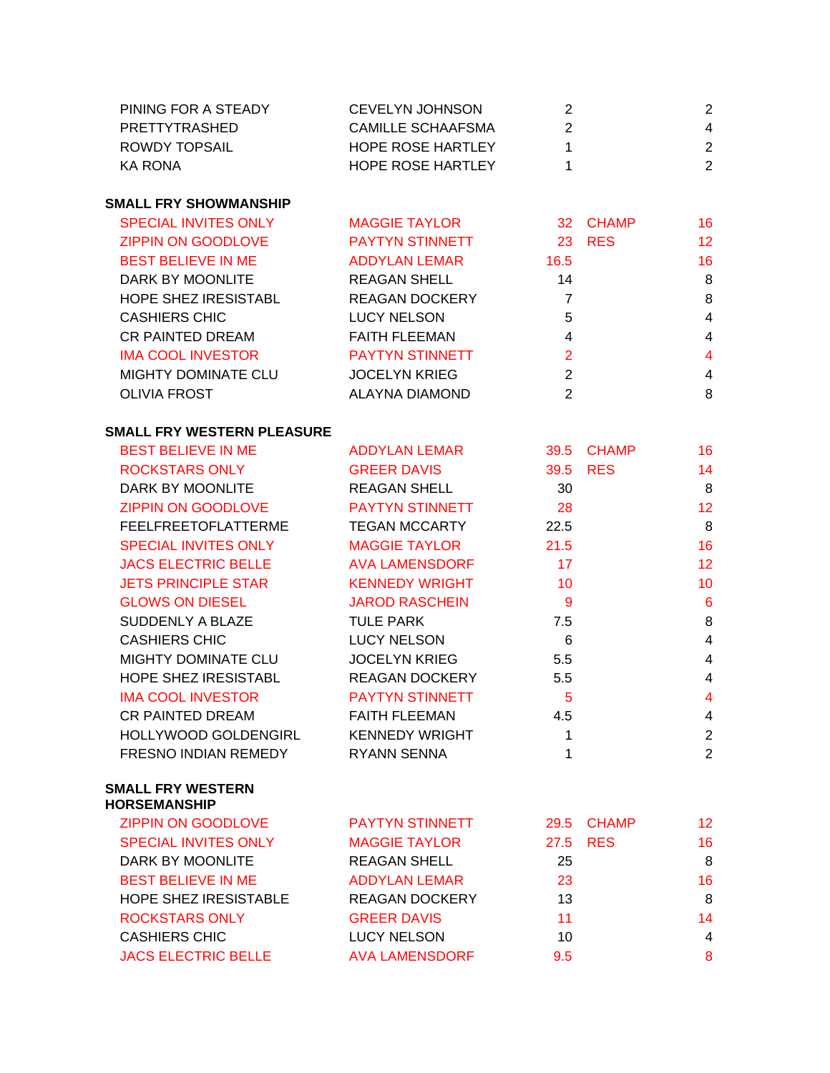| 2<br><b>CAMILLE SCHAAFSMA</b><br>PRETTYTRASHED<br>$\mathbf{1}$<br><b>ROWDY TOPSAIL</b><br>HOPE ROSE HARTLEY<br>HOPE ROSE HARTLEY<br>$\mathbf{1}$<br><b>KA RONA</b><br><b>SMALL FRY SHOWMANSHIP</b><br><b>SPECIAL INVITES ONLY</b><br>32 CHAMP<br><b>MAGGIE TAYLOR</b><br><b>ZIPPIN ON GOODLOVE</b><br><b>PAYTYN STINNETT</b><br>23 RES<br><b>BEST BELIEVE IN ME</b><br><b>ADDYLAN LEMAR</b><br>16.5<br>DARK BY MOONLITE<br><b>REAGAN SHELL</b><br>14<br>HOPE SHEZ IRESISTABL<br>REAGAN DOCKERY<br>$\overline{7}$<br>5<br><b>CASHIERS CHIC</b><br><b>LUCY NELSON</b><br>$\overline{4}$<br>CR PAINTED DREAM<br><b>FAITH FLEEMAN</b><br>$\overline{2}$<br><b>IMA COOL INVESTOR</b><br><b>PAYTYN STINNETT</b><br>2<br>MIGHTY DOMINATE CLU<br><b>JOCELYN KRIEG</b><br>2<br><b>OLIVIA FROST</b><br><b>ALAYNA DIAMOND</b><br><b>SMALL FRY WESTERN PLEASURE</b><br><b>BEST BELIEVE IN ME</b><br><b>ADDYLAN LEMAR</b><br>39.5 CHAMP<br><b>ROCKSTARS ONLY</b><br><b>GREER DAVIS</b><br>39.5 RES<br>DARK BY MOONLITE<br><b>REAGAN SHELL</b><br>30<br>ZIPPIN ON GOODLOVE<br>PAYTYN STINNETT<br>28<br>FEELFREETOFLATTERME<br><b>TEGAN MCCARTY</b><br>22.5<br>SPECIAL INVITES ONLY<br><b>MAGGIE TAYLOR</b><br>21.5<br><b>JACS ELECTRIC BELLE</b><br><b>AVA LAMENSDORF</b><br>17<br><b>JETS PRINCIPLE STAR</b><br><b>KENNEDY WRIGHT</b><br>10<br><b>GLOWS ON DIESEL</b><br><b>JAROD RASCHEIN</b><br>- 9<br>SUDDENLY A BLAZE<br><b>TULE PARK</b><br>7.5<br><b>CASHIERS CHIC</b><br><b>LUCY NELSON</b><br>$6\overline{6}$<br>MIGHTY DOMINATE CLU<br><b>JOCELYN KRIEG</b><br>5.5<br>HOPE SHEZ IRESISTABL<br>REAGAN DOCKERY<br>5.5<br>$5\phantom{1}$<br><b>IMA COOL INVESTOR</b><br><b>PAYTYN STINNETT</b><br><b>CR PAINTED DREAM</b><br><b>FAITH FLEEMAN</b><br>4.5<br><b>HOLLYWOOD GOLDENGIRL</b><br><b>KENNEDY WRIGHT</b><br>1<br>FRESNO INDIAN REMEDY<br><b>RYANN SENNA</b><br>1<br><b>SMALL FRY WESTERN</b><br><b>HORSEMANSHIP</b><br><b>ZIPPIN ON GOODLOVE</b><br><b>PAYTYN STINNETT</b><br><b>CHAMP</b><br>29.5<br><b>SPECIAL INVITES ONLY</b><br><b>MAGGIE TAYLOR</b><br><b>RES</b><br>27.5<br>DARK BY MOONLITE<br><b>REAGAN SHELL</b><br>25<br><b>BEST BELIEVE IN ME</b><br><b>ADDYLAN LEMAR</b><br>23<br><b>HOPE SHEZ IRESISTABLE</b><br><b>REAGAN DOCKERY</b><br>13<br><b>ROCKSTARS ONLY</b><br><b>GREER DAVIS</b><br>11 | PINING FOR A STEADY  | <b>CEVELYN JOHNSON</b> | 2  | 2                       |
|------------------------------------------------------------------------------------------------------------------------------------------------------------------------------------------------------------------------------------------------------------------------------------------------------------------------------------------------------------------------------------------------------------------------------------------------------------------------------------------------------------------------------------------------------------------------------------------------------------------------------------------------------------------------------------------------------------------------------------------------------------------------------------------------------------------------------------------------------------------------------------------------------------------------------------------------------------------------------------------------------------------------------------------------------------------------------------------------------------------------------------------------------------------------------------------------------------------------------------------------------------------------------------------------------------------------------------------------------------------------------------------------------------------------------------------------------------------------------------------------------------------------------------------------------------------------------------------------------------------------------------------------------------------------------------------------------------------------------------------------------------------------------------------------------------------------------------------------------------------------------------------------------------------------------------------------------------------------------------------------------------------------------------------------------------------------------------------------------------------------------------------------------------------------------------------------------------------------------------------------------------------------------------------------------------------|----------------------|------------------------|----|-------------------------|
|                                                                                                                                                                                                                                                                                                                                                                                                                                                                                                                                                                                                                                                                                                                                                                                                                                                                                                                                                                                                                                                                                                                                                                                                                                                                                                                                                                                                                                                                                                                                                                                                                                                                                                                                                                                                                                                                                                                                                                                                                                                                                                                                                                                                                                                                                                                  |                      |                        |    | $\overline{4}$          |
|                                                                                                                                                                                                                                                                                                                                                                                                                                                                                                                                                                                                                                                                                                                                                                                                                                                                                                                                                                                                                                                                                                                                                                                                                                                                                                                                                                                                                                                                                                                                                                                                                                                                                                                                                                                                                                                                                                                                                                                                                                                                                                                                                                                                                                                                                                                  |                      |                        |    | $\mathbf{2}$            |
|                                                                                                                                                                                                                                                                                                                                                                                                                                                                                                                                                                                                                                                                                                                                                                                                                                                                                                                                                                                                                                                                                                                                                                                                                                                                                                                                                                                                                                                                                                                                                                                                                                                                                                                                                                                                                                                                                                                                                                                                                                                                                                                                                                                                                                                                                                                  |                      |                        |    | $\overline{2}$          |
|                                                                                                                                                                                                                                                                                                                                                                                                                                                                                                                                                                                                                                                                                                                                                                                                                                                                                                                                                                                                                                                                                                                                                                                                                                                                                                                                                                                                                                                                                                                                                                                                                                                                                                                                                                                                                                                                                                                                                                                                                                                                                                                                                                                                                                                                                                                  |                      |                        |    |                         |
|                                                                                                                                                                                                                                                                                                                                                                                                                                                                                                                                                                                                                                                                                                                                                                                                                                                                                                                                                                                                                                                                                                                                                                                                                                                                                                                                                                                                                                                                                                                                                                                                                                                                                                                                                                                                                                                                                                                                                                                                                                                                                                                                                                                                                                                                                                                  |                      |                        |    | 16                      |
|                                                                                                                                                                                                                                                                                                                                                                                                                                                                                                                                                                                                                                                                                                                                                                                                                                                                                                                                                                                                                                                                                                                                                                                                                                                                                                                                                                                                                                                                                                                                                                                                                                                                                                                                                                                                                                                                                                                                                                                                                                                                                                                                                                                                                                                                                                                  |                      |                        |    | 12                      |
|                                                                                                                                                                                                                                                                                                                                                                                                                                                                                                                                                                                                                                                                                                                                                                                                                                                                                                                                                                                                                                                                                                                                                                                                                                                                                                                                                                                                                                                                                                                                                                                                                                                                                                                                                                                                                                                                                                                                                                                                                                                                                                                                                                                                                                                                                                                  |                      |                        |    | 16                      |
|                                                                                                                                                                                                                                                                                                                                                                                                                                                                                                                                                                                                                                                                                                                                                                                                                                                                                                                                                                                                                                                                                                                                                                                                                                                                                                                                                                                                                                                                                                                                                                                                                                                                                                                                                                                                                                                                                                                                                                                                                                                                                                                                                                                                                                                                                                                  |                      |                        |    | 8                       |
|                                                                                                                                                                                                                                                                                                                                                                                                                                                                                                                                                                                                                                                                                                                                                                                                                                                                                                                                                                                                                                                                                                                                                                                                                                                                                                                                                                                                                                                                                                                                                                                                                                                                                                                                                                                                                                                                                                                                                                                                                                                                                                                                                                                                                                                                                                                  |                      |                        |    | 8                       |
|                                                                                                                                                                                                                                                                                                                                                                                                                                                                                                                                                                                                                                                                                                                                                                                                                                                                                                                                                                                                                                                                                                                                                                                                                                                                                                                                                                                                                                                                                                                                                                                                                                                                                                                                                                                                                                                                                                                                                                                                                                                                                                                                                                                                                                                                                                                  |                      |                        |    | $\overline{4}$          |
|                                                                                                                                                                                                                                                                                                                                                                                                                                                                                                                                                                                                                                                                                                                                                                                                                                                                                                                                                                                                                                                                                                                                                                                                                                                                                                                                                                                                                                                                                                                                                                                                                                                                                                                                                                                                                                                                                                                                                                                                                                                                                                                                                                                                                                                                                                                  |                      |                        |    | $\overline{4}$          |
|                                                                                                                                                                                                                                                                                                                                                                                                                                                                                                                                                                                                                                                                                                                                                                                                                                                                                                                                                                                                                                                                                                                                                                                                                                                                                                                                                                                                                                                                                                                                                                                                                                                                                                                                                                                                                                                                                                                                                                                                                                                                                                                                                                                                                                                                                                                  |                      |                        |    | $\overline{\mathbf{4}}$ |
|                                                                                                                                                                                                                                                                                                                                                                                                                                                                                                                                                                                                                                                                                                                                                                                                                                                                                                                                                                                                                                                                                                                                                                                                                                                                                                                                                                                                                                                                                                                                                                                                                                                                                                                                                                                                                                                                                                                                                                                                                                                                                                                                                                                                                                                                                                                  |                      |                        |    | $\overline{4}$          |
|                                                                                                                                                                                                                                                                                                                                                                                                                                                                                                                                                                                                                                                                                                                                                                                                                                                                                                                                                                                                                                                                                                                                                                                                                                                                                                                                                                                                                                                                                                                                                                                                                                                                                                                                                                                                                                                                                                                                                                                                                                                                                                                                                                                                                                                                                                                  |                      |                        |    | $\,8\,$                 |
|                                                                                                                                                                                                                                                                                                                                                                                                                                                                                                                                                                                                                                                                                                                                                                                                                                                                                                                                                                                                                                                                                                                                                                                                                                                                                                                                                                                                                                                                                                                                                                                                                                                                                                                                                                                                                                                                                                                                                                                                                                                                                                                                                                                                                                                                                                                  |                      |                        |    |                         |
|                                                                                                                                                                                                                                                                                                                                                                                                                                                                                                                                                                                                                                                                                                                                                                                                                                                                                                                                                                                                                                                                                                                                                                                                                                                                                                                                                                                                                                                                                                                                                                                                                                                                                                                                                                                                                                                                                                                                                                                                                                                                                                                                                                                                                                                                                                                  |                      |                        |    | 16                      |
|                                                                                                                                                                                                                                                                                                                                                                                                                                                                                                                                                                                                                                                                                                                                                                                                                                                                                                                                                                                                                                                                                                                                                                                                                                                                                                                                                                                                                                                                                                                                                                                                                                                                                                                                                                                                                                                                                                                                                                                                                                                                                                                                                                                                                                                                                                                  |                      |                        |    | 14                      |
|                                                                                                                                                                                                                                                                                                                                                                                                                                                                                                                                                                                                                                                                                                                                                                                                                                                                                                                                                                                                                                                                                                                                                                                                                                                                                                                                                                                                                                                                                                                                                                                                                                                                                                                                                                                                                                                                                                                                                                                                                                                                                                                                                                                                                                                                                                                  |                      |                        |    | 8                       |
|                                                                                                                                                                                                                                                                                                                                                                                                                                                                                                                                                                                                                                                                                                                                                                                                                                                                                                                                                                                                                                                                                                                                                                                                                                                                                                                                                                                                                                                                                                                                                                                                                                                                                                                                                                                                                                                                                                                                                                                                                                                                                                                                                                                                                                                                                                                  |                      |                        |    | 12                      |
|                                                                                                                                                                                                                                                                                                                                                                                                                                                                                                                                                                                                                                                                                                                                                                                                                                                                                                                                                                                                                                                                                                                                                                                                                                                                                                                                                                                                                                                                                                                                                                                                                                                                                                                                                                                                                                                                                                                                                                                                                                                                                                                                                                                                                                                                                                                  |                      |                        |    | 8                       |
|                                                                                                                                                                                                                                                                                                                                                                                                                                                                                                                                                                                                                                                                                                                                                                                                                                                                                                                                                                                                                                                                                                                                                                                                                                                                                                                                                                                                                                                                                                                                                                                                                                                                                                                                                                                                                                                                                                                                                                                                                                                                                                                                                                                                                                                                                                                  |                      |                        |    | 16                      |
|                                                                                                                                                                                                                                                                                                                                                                                                                                                                                                                                                                                                                                                                                                                                                                                                                                                                                                                                                                                                                                                                                                                                                                                                                                                                                                                                                                                                                                                                                                                                                                                                                                                                                                                                                                                                                                                                                                                                                                                                                                                                                                                                                                                                                                                                                                                  |                      |                        |    | 12                      |
|                                                                                                                                                                                                                                                                                                                                                                                                                                                                                                                                                                                                                                                                                                                                                                                                                                                                                                                                                                                                                                                                                                                                                                                                                                                                                                                                                                                                                                                                                                                                                                                                                                                                                                                                                                                                                                                                                                                                                                                                                                                                                                                                                                                                                                                                                                                  |                      |                        |    | 10 <sup>°</sup>         |
|                                                                                                                                                                                                                                                                                                                                                                                                                                                                                                                                                                                                                                                                                                                                                                                                                                                                                                                                                                                                                                                                                                                                                                                                                                                                                                                                                                                                                                                                                                                                                                                                                                                                                                                                                                                                                                                                                                                                                                                                                                                                                                                                                                                                                                                                                                                  |                      |                        |    | 6                       |
|                                                                                                                                                                                                                                                                                                                                                                                                                                                                                                                                                                                                                                                                                                                                                                                                                                                                                                                                                                                                                                                                                                                                                                                                                                                                                                                                                                                                                                                                                                                                                                                                                                                                                                                                                                                                                                                                                                                                                                                                                                                                                                                                                                                                                                                                                                                  |                      |                        |    | 8                       |
|                                                                                                                                                                                                                                                                                                                                                                                                                                                                                                                                                                                                                                                                                                                                                                                                                                                                                                                                                                                                                                                                                                                                                                                                                                                                                                                                                                                                                                                                                                                                                                                                                                                                                                                                                                                                                                                                                                                                                                                                                                                                                                                                                                                                                                                                                                                  |                      |                        |    | $\overline{4}$          |
|                                                                                                                                                                                                                                                                                                                                                                                                                                                                                                                                                                                                                                                                                                                                                                                                                                                                                                                                                                                                                                                                                                                                                                                                                                                                                                                                                                                                                                                                                                                                                                                                                                                                                                                                                                                                                                                                                                                                                                                                                                                                                                                                                                                                                                                                                                                  |                      |                        |    | $\overline{4}$          |
|                                                                                                                                                                                                                                                                                                                                                                                                                                                                                                                                                                                                                                                                                                                                                                                                                                                                                                                                                                                                                                                                                                                                                                                                                                                                                                                                                                                                                                                                                                                                                                                                                                                                                                                                                                                                                                                                                                                                                                                                                                                                                                                                                                                                                                                                                                                  |                      |                        |    | $\overline{4}$          |
|                                                                                                                                                                                                                                                                                                                                                                                                                                                                                                                                                                                                                                                                                                                                                                                                                                                                                                                                                                                                                                                                                                                                                                                                                                                                                                                                                                                                                                                                                                                                                                                                                                                                                                                                                                                                                                                                                                                                                                                                                                                                                                                                                                                                                                                                                                                  |                      |                        |    | $\overline{4}$          |
|                                                                                                                                                                                                                                                                                                                                                                                                                                                                                                                                                                                                                                                                                                                                                                                                                                                                                                                                                                                                                                                                                                                                                                                                                                                                                                                                                                                                                                                                                                                                                                                                                                                                                                                                                                                                                                                                                                                                                                                                                                                                                                                                                                                                                                                                                                                  |                      |                        |    | 4                       |
|                                                                                                                                                                                                                                                                                                                                                                                                                                                                                                                                                                                                                                                                                                                                                                                                                                                                                                                                                                                                                                                                                                                                                                                                                                                                                                                                                                                                                                                                                                                                                                                                                                                                                                                                                                                                                                                                                                                                                                                                                                                                                                                                                                                                                                                                                                                  |                      |                        |    | $\overline{2}$          |
|                                                                                                                                                                                                                                                                                                                                                                                                                                                                                                                                                                                                                                                                                                                                                                                                                                                                                                                                                                                                                                                                                                                                                                                                                                                                                                                                                                                                                                                                                                                                                                                                                                                                                                                                                                                                                                                                                                                                                                                                                                                                                                                                                                                                                                                                                                                  |                      |                        |    | $\overline{2}$          |
|                                                                                                                                                                                                                                                                                                                                                                                                                                                                                                                                                                                                                                                                                                                                                                                                                                                                                                                                                                                                                                                                                                                                                                                                                                                                                                                                                                                                                                                                                                                                                                                                                                                                                                                                                                                                                                                                                                                                                                                                                                                                                                                                                                                                                                                                                                                  |                      |                        |    |                         |
|                                                                                                                                                                                                                                                                                                                                                                                                                                                                                                                                                                                                                                                                                                                                                                                                                                                                                                                                                                                                                                                                                                                                                                                                                                                                                                                                                                                                                                                                                                                                                                                                                                                                                                                                                                                                                                                                                                                                                                                                                                                                                                                                                                                                                                                                                                                  |                      |                        |    | 12 <sub>2</sub>         |
|                                                                                                                                                                                                                                                                                                                                                                                                                                                                                                                                                                                                                                                                                                                                                                                                                                                                                                                                                                                                                                                                                                                                                                                                                                                                                                                                                                                                                                                                                                                                                                                                                                                                                                                                                                                                                                                                                                                                                                                                                                                                                                                                                                                                                                                                                                                  |                      |                        |    | 16                      |
|                                                                                                                                                                                                                                                                                                                                                                                                                                                                                                                                                                                                                                                                                                                                                                                                                                                                                                                                                                                                                                                                                                                                                                                                                                                                                                                                                                                                                                                                                                                                                                                                                                                                                                                                                                                                                                                                                                                                                                                                                                                                                                                                                                                                                                                                                                                  |                      |                        |    | 8                       |
|                                                                                                                                                                                                                                                                                                                                                                                                                                                                                                                                                                                                                                                                                                                                                                                                                                                                                                                                                                                                                                                                                                                                                                                                                                                                                                                                                                                                                                                                                                                                                                                                                                                                                                                                                                                                                                                                                                                                                                                                                                                                                                                                                                                                                                                                                                                  |                      |                        |    | 16                      |
|                                                                                                                                                                                                                                                                                                                                                                                                                                                                                                                                                                                                                                                                                                                                                                                                                                                                                                                                                                                                                                                                                                                                                                                                                                                                                                                                                                                                                                                                                                                                                                                                                                                                                                                                                                                                                                                                                                                                                                                                                                                                                                                                                                                                                                                                                                                  |                      |                        |    | 8                       |
|                                                                                                                                                                                                                                                                                                                                                                                                                                                                                                                                                                                                                                                                                                                                                                                                                                                                                                                                                                                                                                                                                                                                                                                                                                                                                                                                                                                                                                                                                                                                                                                                                                                                                                                                                                                                                                                                                                                                                                                                                                                                                                                                                                                                                                                                                                                  |                      |                        |    | 14                      |
|                                                                                                                                                                                                                                                                                                                                                                                                                                                                                                                                                                                                                                                                                                                                                                                                                                                                                                                                                                                                                                                                                                                                                                                                                                                                                                                                                                                                                                                                                                                                                                                                                                                                                                                                                                                                                                                                                                                                                                                                                                                                                                                                                                                                                                                                                                                  | <b>CASHIERS CHIC</b> | <b>LUCY NELSON</b>     | 10 | 4                       |
| <b>JACS ELECTRIC BELLE</b><br><b>AVA LAMENSDORF</b><br>9.5                                                                                                                                                                                                                                                                                                                                                                                                                                                                                                                                                                                                                                                                                                                                                                                                                                                                                                                                                                                                                                                                                                                                                                                                                                                                                                                                                                                                                                                                                                                                                                                                                                                                                                                                                                                                                                                                                                                                                                                                                                                                                                                                                                                                                                                       |                      |                        |    | 8                       |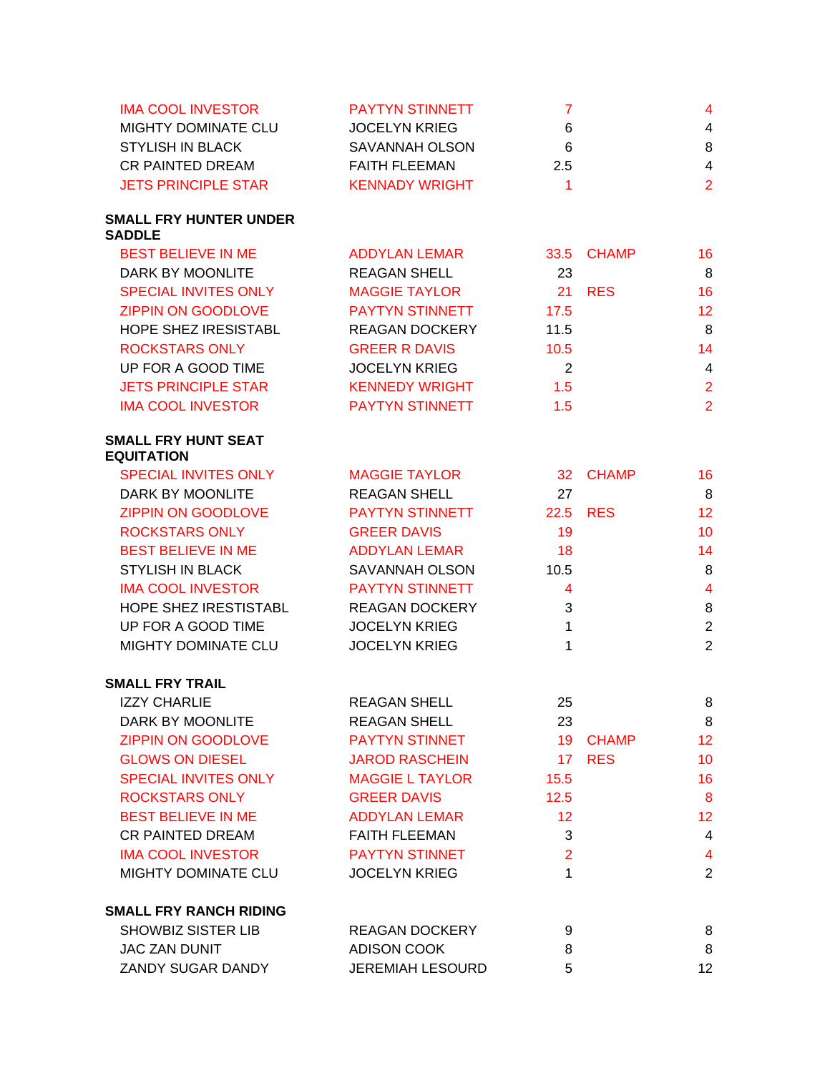| <b>IMA COOL INVESTOR</b>                        | <b>PAYTYN STINNETT</b>  | $\overline{7}$  |              | 4               |
|-------------------------------------------------|-------------------------|-----------------|--------------|-----------------|
| MIGHTY DOMINATE CLU                             | <b>JOCELYN KRIEG</b>    | 6               |              | $\overline{4}$  |
| <b>STYLISH IN BLACK</b>                         | <b>SAVANNAH OLSON</b>   | 6               |              | 8               |
| <b>CR PAINTED DREAM</b>                         | <b>FAITH FLEEMAN</b>    | 2.5             |              | $\overline{4}$  |
| <b>JETS PRINCIPLE STAR</b>                      | <b>KENNADY WRIGHT</b>   | $\overline{1}$  |              | $\overline{2}$  |
| <b>SMALL FRY HUNTER UNDER</b><br><b>SADDLE</b>  |                         |                 |              |                 |
| <b>BEST BELIEVE IN ME</b>                       | ADDYLAN LEMAR           |                 | 33.5 CHAMP   | 16              |
| DARK BY MOONLITE                                | <b>REAGAN SHELL</b>     | 23              |              | 8               |
| <b>SPECIAL INVITES ONLY</b>                     | <b>MAGGIE TAYLOR</b>    | 21              | <b>RES</b>   | 16              |
| <b>ZIPPIN ON GOODLOVE</b>                       | PAYTYN STINNETT         | 17.5            |              | 12              |
| HOPE SHEZ IRESISTABL                            | <b>REAGAN DOCKERY</b>   | 11.5            |              | 8               |
| <b>ROCKSTARS ONLY</b>                           | <b>GREER R DAVIS</b>    | 10.5            |              | 14              |
| UP FOR A GOOD TIME                              | <b>JOCELYN KRIEG</b>    | $\overline{2}$  |              | $\overline{4}$  |
| <b>JETS PRINCIPLE STAR</b>                      | <b>KENNEDY WRIGHT</b>   | 1.5             |              | $\overline{2}$  |
| <b>IMA COOL INVESTOR</b>                        | <b>PAYTYN STINNETT</b>  | 1.5             |              | $\overline{2}$  |
| <b>SMALL FRY HUNT SEAT</b><br><b>EQUITATION</b> |                         |                 |              |                 |
| <b>SPECIAL INVITES ONLY</b>                     | <b>MAGGIE TAYLOR</b>    | 32 <sup>2</sup> | <b>CHAMP</b> | 16              |
| <b>DARK BY MOONLITE</b>                         | <b>REAGAN SHELL</b>     | 27              |              | 8               |
| <b>ZIPPIN ON GOODLOVE</b>                       | <b>PAYTYN STINNETT</b>  |                 | 22.5 RES     | 12 <sup>°</sup> |
| <b>ROCKSTARS ONLY</b>                           | <b>GREER DAVIS</b>      | 19              |              | 10 <sup>°</sup> |
| <b>BEST BELIEVE IN ME</b>                       | <b>ADDYLAN LEMAR</b>    | 18              |              | 14              |
| <b>STYLISH IN BLACK</b>                         | <b>SAVANNAH OLSON</b>   | 10.5            |              | 8               |
| <b>IMA COOL INVESTOR</b>                        | <b>PAYTYN STINNETT</b>  | $\overline{4}$  |              | $\overline{4}$  |
| HOPE SHEZ IRESTISTABL                           | <b>REAGAN DOCKERY</b>   | 3               |              | $\,8\,$         |
| UP FOR A GOOD TIME                              | <b>JOCELYN KRIEG</b>    | $\mathbf{1}$    |              | $\overline{2}$  |
| MIGHTY DOMINATE CLU                             | <b>JOCELYN KRIEG</b>    | $\mathbf{1}$    |              | $\overline{2}$  |
| <b>SMALL FRY TRAIL</b>                          |                         |                 |              |                 |
| <b>IZZY CHARLIE</b>                             | <b>REAGAN SHELL</b>     | 25              |              | 8               |
| DARK BY MOONLITE                                | <b>REAGAN SHELL</b>     | 23              |              | 8               |
| <b>ZIPPIN ON GOODLOVE</b>                       | <b>PAYTYN STINNET</b>   |                 | 19 CHAMP     | 12 <sub>2</sub> |
| <b>GLOWS ON DIESEL</b>                          | <b>JAROD RASCHEIN</b>   | 17 <sup>2</sup> | <b>RES</b>   | 10              |
| <b>SPECIAL INVITES ONLY</b>                     | <b>MAGGIE L TAYLOR</b>  | 15.5            |              | 16              |
| <b>ROCKSTARS ONLY</b>                           | <b>GREER DAVIS</b>      | 12.5            |              | 8               |
| <b>BEST BELIEVE IN ME</b>                       | <b>ADDYLAN LEMAR</b>    | 12 <sup>2</sup> |              | 12 <sub>2</sub> |
| <b>CR PAINTED DREAM</b>                         | <b>FAITH FLEEMAN</b>    | 3               |              | $\overline{4}$  |
| <b>IMA COOL INVESTOR</b>                        | <b>PAYTYN STINNET</b>   | $\overline{2}$  |              | $\overline{4}$  |
| MIGHTY DOMINATE CLU                             | <b>JOCELYN KRIEG</b>    | $\mathbf{1}$    |              | $\overline{2}$  |
| <b>SMALL FRY RANCH RIDING</b>                   |                         |                 |              |                 |
| <b>SHOWBIZ SISTER LIB</b>                       | <b>REAGAN DOCKERY</b>   | 9               |              | 8               |
| <b>JAC ZAN DUNIT</b>                            | <b>ADISON COOK</b>      | 8               |              | 8               |
| ZANDY SUGAR DANDY                               | <b>JEREMIAH LESOURD</b> | 5               |              | 12              |